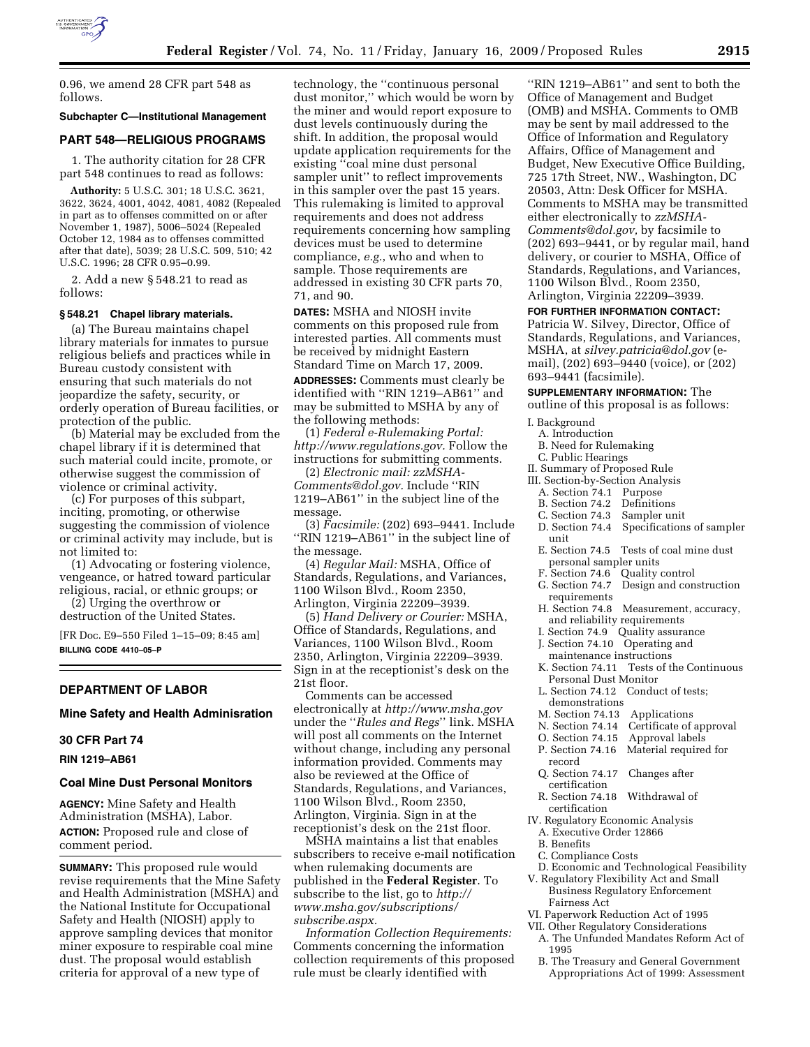

0.96, we amend 28 CFR part 548 as follows.

## **Subchapter C—Institutional Management**

#### **PART 548—RELIGIOUS PROGRAMS**

1. The authority citation for 28 CFR part 548 continues to read as follows:

**Authority:** 5 U.S.C. 301; 18 U.S.C. 3621, 3622, 3624, 4001, 4042, 4081, 4082 (Repealed in part as to offenses committed on or after November 1, 1987), 5006–5024 (Repealed October 12, 1984 as to offenses committed after that date), 5039; 28 U.S.C. 509, 510; 42 U.S.C. 1996; 28 CFR 0.95–0.99.

2. Add a new § 548.21 to read as follows:

#### **§ 548.21 Chapel library materials.**

(a) The Bureau maintains chapel library materials for inmates to pursue religious beliefs and practices while in Bureau custody consistent with ensuring that such materials do not jeopardize the safety, security, or orderly operation of Bureau facilities, or protection of the public.

(b) Material may be excluded from the chapel library if it is determined that such material could incite, promote, or otherwise suggest the commission of violence or criminal activity.

(c) For purposes of this subpart, inciting, promoting, or otherwise suggesting the commission of violence or criminal activity may include, but is not limited to:

(1) Advocating or fostering violence, vengeance, or hatred toward particular religious, racial, or ethnic groups; or

(2) Urging the overthrow or destruction of the United States.

[FR Doc. E9–550 Filed 1–15–09; 8:45 am] **BILLING CODE 4410–05–P** 

#### **DEPARTMENT OF LABOR**

**Mine Safety and Health Adminisration** 

#### **30 CFR Part 74**

**RIN 1219–AB61** 

## **Coal Mine Dust Personal Monitors**

**AGENCY:** Mine Safety and Health Administration (MSHA), Labor. **ACTION:** Proposed rule and close of comment period.

**SUMMARY:** This proposed rule would revise requirements that the Mine Safety and Health Administration (MSHA) and the National Institute for Occupational Safety and Health (NIOSH) apply to approve sampling devices that monitor miner exposure to respirable coal mine dust. The proposal would establish criteria for approval of a new type of

technology, the ''continuous personal dust monitor,'' which would be worn by the miner and would report exposure to dust levels continuously during the shift. In addition, the proposal would update application requirements for the existing ''coal mine dust personal sampler unit'' to reflect improvements in this sampler over the past 15 years. This rulemaking is limited to approval requirements and does not address requirements concerning how sampling devices must be used to determine compliance, *e.g.*, who and when to sample. Those requirements are addressed in existing 30 CFR parts 70, 71, and 90.

**DATES:** MSHA and NIOSH invite comments on this proposed rule from interested parties. All comments must be received by midnight Eastern Standard Time on March 17, 2009.

**ADDRESSES:** Comments must clearly be identified with ''RIN 1219–AB61'' and may be submitted to MSHA by any of the following methods:

(1) *Federal e-Rulemaking Portal: http://www.regulations.gov.* Follow the instructions for submitting comments.

(2) *Electronic mail: zzMSHA-Comments@dol.gov.* Include ''RIN 1219–AB61'' in the subject line of the message.

(3) *Facsimile:* (202) 693–9441. Include "RIN 1219-AB61" in the subject line of the message.

(4) *Regular Mail:* MSHA, Office of Standards, Regulations, and Variances, 1100 Wilson Blvd., Room 2350, Arlington, Virginia 22209–3939.

(5) *Hand Delivery or Courier:* MSHA, Office of Standards, Regulations, and Variances, 1100 Wilson Blvd., Room 2350, Arlington, Virginia 22209–3939. Sign in at the receptionist's desk on the 21st floor.

Comments can be accessed electronically at *http://www.msha.gov*  under the ''*Rules and Regs*'' link. MSHA will post all comments on the Internet without change, including any personal information provided. Comments may also be reviewed at the Office of Standards, Regulations, and Variances, 1100 Wilson Blvd., Room 2350, Arlington, Virginia. Sign in at the receptionist's desk on the 21st floor.

MSHA maintains a list that enables subscribers to receive e-mail notification when rulemaking documents are published in the **Federal Register**. To subscribe to the list, go to *http:// www.msha.gov/subscriptions/ subscribe.aspx.* 

*Information Collection Requirements:*  Comments concerning the information collection requirements of this proposed rule must be clearly identified with

''RIN 1219–AB61'' and sent to both the Office of Management and Budget (OMB) and MSHA. Comments to OMB may be sent by mail addressed to the Office of Information and Regulatory Affairs, Office of Management and Budget, New Executive Office Building, 725 17th Street, NW., Washington, DC 20503, Attn: Desk Officer for MSHA. Comments to MSHA may be transmitted either electronically to *zzMSHA-Comments@dol.gov,* by facsimile to (202) 693–9441, or by regular mail, hand delivery, or courier to MSHA, Office of Standards, Regulations, and Variances, 1100 Wilson Blvd., Room 2350, Arlington, Virginia 22209–3939.

### **FOR FURTHER INFORMATION CONTACT:**

Patricia W. Silvey, Director, Office of Standards, Regulations, and Variances, MSHA, at *silvey.patricia@dol.gov* (email), (202) 693–9440 (voice), or (202) 693–9441 (facsimile).

#### **SUPPLEMENTARY INFORMATION:** The

outline of this proposal is as follows:

- I. Background
- A. Introduction
- B. Need for Rulemaking
- C. Public Hearings
- II. Summary of Proposed Rule
- III. Section-by-Section Analysis
	- A. Section 74.1 Purpose
	- B. Section 74.2 Definitions<br>C. Section 74.3 Sampler unit
	- C. Section 74.3
	- D. Section 74.4 Specifications of sampler unit
	- E. Section 74.5 Tests of coal mine dust personal sampler units
	- F. Section 74.6 Quality control
- G. Section 74.7 Design and construction requirements<br>H. Section 74.8
- Measurement, accuracy, and reliability requirements
- I. Section 74.9 Quality assurance
- J. Section 74.10 Operating and
- maintenance instructions
- K. Section 74.11 Tests of the Continuous Personal Dust Monitor
- L. Section 74.12 Conduct of tests; demonstrations
- 
- M. Section 74.13 Applications<br>N. Section 74.14 Certificate of Certificate of approval
- O. Section 74.15 Approval labels
- P. Section 74.16 Material required for record
- Q. Section 74.17 Changes after certification
- R. Section 74.18 Withdrawal of certification
- IV. Regulatory Economic Analysis
- A. Executive Order 12866
- B. Benefits
- C. Compliance Costs
- D. Economic and Technological Feasibility
- V. Regulatory Flexibility Act and Small Business Regulatory Enforcement Fairness Act
- VI. Paperwork Reduction Act of 1995
- VII. Other Regulatory Considerations
	- A. The Unfunded Mandates Reform Act of 1995
	- B. The Treasury and General Government Appropriations Act of 1999: Assessment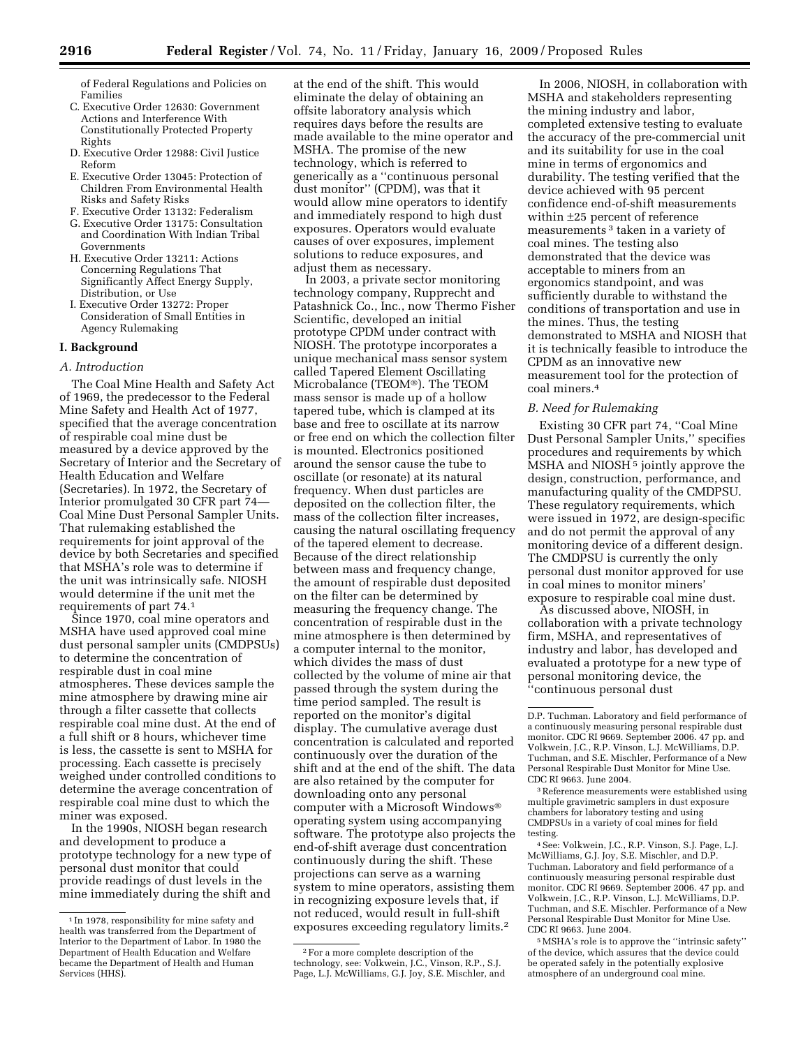of Federal Regulations and Policies on Families

- C. Executive Order 12630: Government Actions and Interference With Constitutionally Protected Property Rights
- D. Executive Order 12988: Civil Justice Reform
- E. Executive Order 13045: Protection of Children From Environmental Health Risks and Safety Risks
- F. Executive Order 13132: Federalism
- G. Executive Order 13175: Consultation and Coordination With Indian Tribal Governments
- H. Executive Order 13211: Actions Concerning Regulations That Significantly Affect Energy Supply, Distribution, or Use
- I. Executive Order 13272: Proper Consideration of Small Entities in Agency Rulemaking

# **I. Background**

### *A. Introduction*

The Coal Mine Health and Safety Act of 1969, the predecessor to the Federal Mine Safety and Health Act of 1977, specified that the average concentration of respirable coal mine dust be measured by a device approved by the Secretary of Interior and the Secretary of Health Education and Welfare (Secretaries). In 1972, the Secretary of Interior promulgated 30 CFR part 74— Coal Mine Dust Personal Sampler Units. That rulemaking established the requirements for joint approval of the device by both Secretaries and specified that MSHA's role was to determine if the unit was intrinsically safe. NIOSH would determine if the unit met the requirements of part 74.1

Since 1970, coal mine operators and MSHA have used approved coal mine dust personal sampler units (CMDPSUs) to determine the concentration of respirable dust in coal mine atmospheres. These devices sample the mine atmosphere by drawing mine air through a filter cassette that collects respirable coal mine dust. At the end of a full shift or 8 hours, whichever time is less, the cassette is sent to MSHA for processing. Each cassette is precisely weighed under controlled conditions to determine the average concentration of respirable coal mine dust to which the miner was exposed.

In the 1990s, NIOSH began research and development to produce a prototype technology for a new type of personal dust monitor that could provide readings of dust levels in the mine immediately during the shift and

at the end of the shift. This would eliminate the delay of obtaining an offsite laboratory analysis which requires days before the results are made available to the mine operator and MSHA. The promise of the new technology, which is referred to generically as a ''continuous personal dust monitor'' (CPDM), was that it would allow mine operators to identify and immediately respond to high dust exposures. Operators would evaluate causes of over exposures, implement solutions to reduce exposures, and adjust them as necessary.

In 2003, a private sector monitoring technology company, Rupprecht and Patashnick Co., Inc., now Thermo Fisher Scientific, developed an initial prototype CPDM under contract with NIOSH. The prototype incorporates a unique mechanical mass sensor system called Tapered Element Oscillating Microbalance (TEOM®). The TEOM mass sensor is made up of a hollow tapered tube, which is clamped at its base and free to oscillate at its narrow or free end on which the collection filter is mounted. Electronics positioned around the sensor cause the tube to oscillate (or resonate) at its natural frequency. When dust particles are deposited on the collection filter, the mass of the collection filter increases, causing the natural oscillating frequency of the tapered element to decrease. Because of the direct relationship between mass and frequency change, the amount of respirable dust deposited on the filter can be determined by measuring the frequency change. The concentration of respirable dust in the mine atmosphere is then determined by a computer internal to the monitor, which divides the mass of dust collected by the volume of mine air that passed through the system during the time period sampled. The result is reported on the monitor's digital display. The cumulative average dust concentration is calculated and reported continuously over the duration of the shift and at the end of the shift. The data are also retained by the computer for downloading onto any personal computer with a Microsoft Windows® operating system using accompanying software. The prototype also projects the end-of-shift average dust concentration continuously during the shift. These projections can serve as a warning system to mine operators, assisting them in recognizing exposure levels that, if not reduced, would result in full-shift exposures exceeding regulatory limits.2

In 2006, NIOSH, in collaboration with MSHA and stakeholders representing the mining industry and labor, completed extensive testing to evaluate the accuracy of the pre-commercial unit and its suitability for use in the coal mine in terms of ergonomics and durability. The testing verified that the device achieved with 95 percent confidence end-of-shift measurements within ±25 percent of reference measurements 3 taken in a variety of coal mines. The testing also demonstrated that the device was acceptable to miners from an ergonomics standpoint, and was sufficiently durable to withstand the conditions of transportation and use in the mines. Thus, the testing demonstrated to MSHA and NIOSH that it is technically feasible to introduce the CPDM as an innovative new measurement tool for the protection of coal miners.4

## *B. Need for Rulemaking*

Existing 30 CFR part 74, ''Coal Mine Dust Personal Sampler Units,'' specifies procedures and requirements by which MSHA and NIOSH<sup>5</sup> jointly approve the design, construction, performance, and manufacturing quality of the CMDPSU. These regulatory requirements, which were issued in 1972, are design-specific and do not permit the approval of any monitoring device of a different design. The CMDPSU is currently the only personal dust monitor approved for use in coal mines to monitor miners' exposure to respirable coal mine dust.

As discussed above, NIOSH, in collaboration with a private technology firm, MSHA, and representatives of industry and labor, has developed and evaluated a prototype for a new type of personal monitoring device, the ''continuous personal dust

3Reference measurements were established using multiple gravimetric samplers in dust exposure chambers for laboratory testing and using CMDPSUs in a variety of coal mines for field testing.

4See: Volkwein, J.C., R.P. Vinson, S.J. Page, L.J. McWilliams, G.J. Joy, S.E. Mischler, and D.P. Tuchman. Laboratory and field performance of a continuously measuring personal respirable dust monitor. CDC RI 9669. September 2006. 47 pp. and Volkwein, J.C., R.P. Vinson, L.J. McWilliams, D.P. Tuchman, and S.E. Mischler. Performance of a New Personal Respirable Dust Monitor for Mine Use. CDC RI 9663. June 2004.

5MSHA's role is to approve the ''intrinsic safety'' of the device, which assures that the device could be operated safely in the potentially explosive atmosphere of an underground coal mine.

<sup>&</sup>lt;sup>1</sup> In 1978, responsibility for mine safety and health was transferred from the Department of Interior to the Department of Labor. In 1980 the Department of Health Education and Welfare became the Department of Health and Human Services (HHS).

<sup>2</sup>For a more complete description of the technology, see: Volkwein, J.C., Vinson, R.P., S.J. Page, L.J. McWilliams, G.J. Joy, S.E. Mischler, and

D.P. Tuchman. Laboratory and field performance of a continuously measuring personal respirable dust monitor. CDC RI 9669. September 2006. 47 pp. and Volkwein, J.C., R.P. Vinson, L.J. McWilliams, D.P. Tuchman, and S.E. Mischler, Performance of a New Personal Respirable Dust Monitor for Mine Use. CDC RI 9663. June 2004.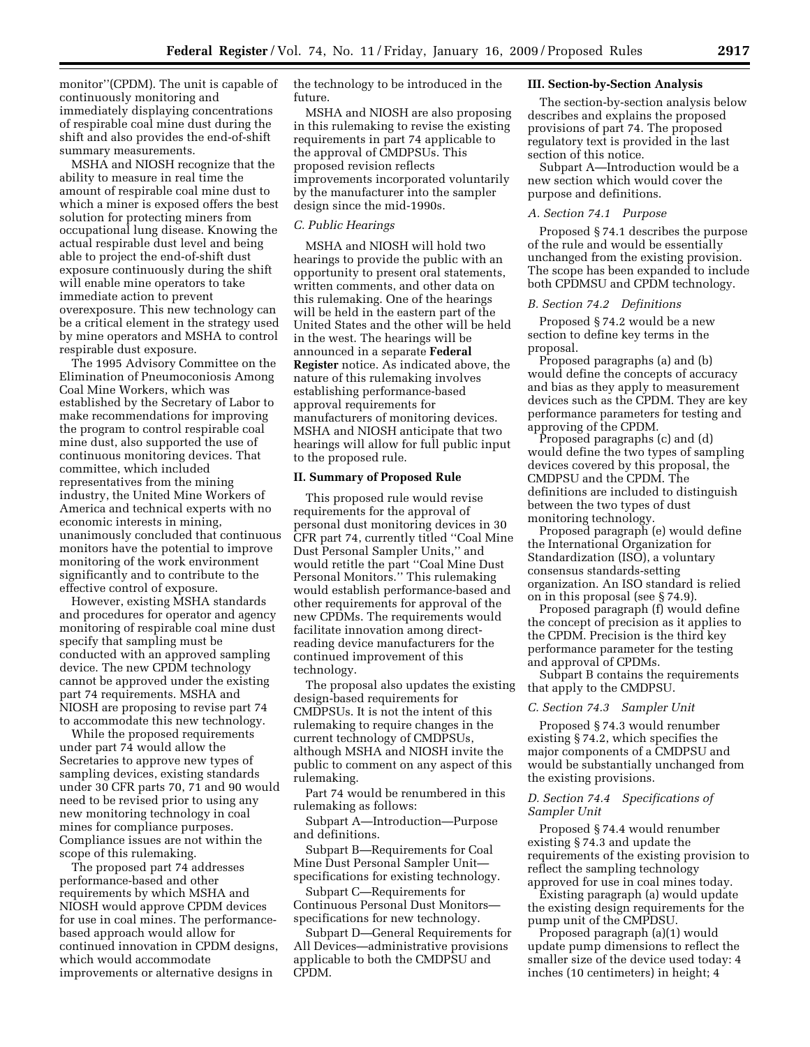monitor''(CPDM). The unit is capable of continuously monitoring and immediately displaying concentrations of respirable coal mine dust during the shift and also provides the end-of-shift summary measurements.

MSHA and NIOSH recognize that the ability to measure in real time the amount of respirable coal mine dust to which a miner is exposed offers the best solution for protecting miners from occupational lung disease. Knowing the actual respirable dust level and being able to project the end-of-shift dust exposure continuously during the shift will enable mine operators to take immediate action to prevent overexposure. This new technology can be a critical element in the strategy used by mine operators and MSHA to control respirable dust exposure.

The 1995 Advisory Committee on the Elimination of Pneumoconiosis Among Coal Mine Workers, which was established by the Secretary of Labor to make recommendations for improving the program to control respirable coal mine dust, also supported the use of continuous monitoring devices. That committee, which included representatives from the mining industry, the United Mine Workers of America and technical experts with no economic interests in mining, unanimously concluded that continuous monitors have the potential to improve monitoring of the work environment significantly and to contribute to the effective control of exposure.

However, existing MSHA standards and procedures for operator and agency monitoring of respirable coal mine dust specify that sampling must be conducted with an approved sampling device. The new CPDM technology cannot be approved under the existing part 74 requirements. MSHA and NIOSH are proposing to revise part 74 to accommodate this new technology.

While the proposed requirements under part 74 would allow the Secretaries to approve new types of sampling devices, existing standards under 30 CFR parts 70, 71 and 90 would need to be revised prior to using any new monitoring technology in coal mines for compliance purposes. Compliance issues are not within the scope of this rulemaking.

The proposed part 74 addresses performance-based and other requirements by which MSHA and NIOSH would approve CPDM devices for use in coal mines. The performancebased approach would allow for continued innovation in CPDM designs, which would accommodate improvements or alternative designs in

the technology to be introduced in the future.

MSHA and NIOSH are also proposing in this rulemaking to revise the existing requirements in part 74 applicable to the approval of CMDPSUs. This proposed revision reflects improvements incorporated voluntarily by the manufacturer into the sampler design since the mid-1990s.

#### *C. Public Hearings*

MSHA and NIOSH will hold two hearings to provide the public with an opportunity to present oral statements, written comments, and other data on this rulemaking. One of the hearings will be held in the eastern part of the United States and the other will be held in the west. The hearings will be announced in a separate **Federal Register** notice. As indicated above, the nature of this rulemaking involves establishing performance-based approval requirements for manufacturers of monitoring devices. MSHA and NIOSH anticipate that two hearings will allow for full public input to the proposed rule.

#### **II. Summary of Proposed Rule**

This proposed rule would revise requirements for the approval of personal dust monitoring devices in 30 CFR part 74, currently titled ''Coal Mine Dust Personal Sampler Units,'' and would retitle the part ''Coal Mine Dust Personal Monitors.'' This rulemaking would establish performance-based and other requirements for approval of the new CPDMs. The requirements would facilitate innovation among directreading device manufacturers for the continued improvement of this technology.

The proposal also updates the existing design-based requirements for CMDPSUs. It is not the intent of this rulemaking to require changes in the current technology of CMDPSUs, although MSHA and NIOSH invite the public to comment on any aspect of this rulemaking.

Part 74 would be renumbered in this rulemaking as follows:

Subpart A—Introduction—Purpose and definitions.

Subpart B—Requirements for Coal Mine Dust Personal Sampler Unit specifications for existing technology.

Subpart C—Requirements for Continuous Personal Dust Monitors specifications for new technology.

Subpart D—General Requirements for All Devices—administrative provisions applicable to both the CMDPSU and CPDM.

### **III. Section-by-Section Analysis**

The section-by-section analysis below describes and explains the proposed provisions of part 74. The proposed regulatory text is provided in the last section of this notice.

Subpart A—Introduction would be a new section which would cover the purpose and definitions.

# *A. Section 74.1 Purpose*

Proposed § 74.1 describes the purpose of the rule and would be essentially unchanged from the existing provision. The scope has been expanded to include both CPDMSU and CPDM technology.

### *B. Section 74.2 Definitions*

Proposed § 74.2 would be a new section to define key terms in the proposal.

Proposed paragraphs (a) and (b) would define the concepts of accuracy and bias as they apply to measurement devices such as the CPDM. They are key performance parameters for testing and approving of the CPDM.

Proposed paragraphs (c) and (d) would define the two types of sampling devices covered by this proposal, the CMDPSU and the CPDM. The definitions are included to distinguish between the two types of dust monitoring technology.

Proposed paragraph (e) would define the International Organization for Standardization (ISO), a voluntary consensus standards-setting organization. An ISO standard is relied on in this proposal (see § 74.9).

Proposed paragraph (f) would define the concept of precision as it applies to the CPDM. Precision is the third key performance parameter for the testing and approval of CPDMs.

Subpart B contains the requirements that apply to the CMDPSU.

#### *C. Section 74.3 Sampler Unit*

Proposed § 74.3 would renumber existing § 74.2, which specifies the major components of a CMDPSU and would be substantially unchanged from the existing provisions.

### *D. Section 74.4 Specifications of Sampler Unit*

Proposed § 74.4 would renumber existing § 74.3 and update the requirements of the existing provision to reflect the sampling technology approved for use in coal mines today.

Existing paragraph (a) would update the existing design requirements for the pump unit of the CMPDSU.

Proposed paragraph (a)(1) would update pump dimensions to reflect the smaller size of the device used today: 4 inches (10 centimeters) in height; 4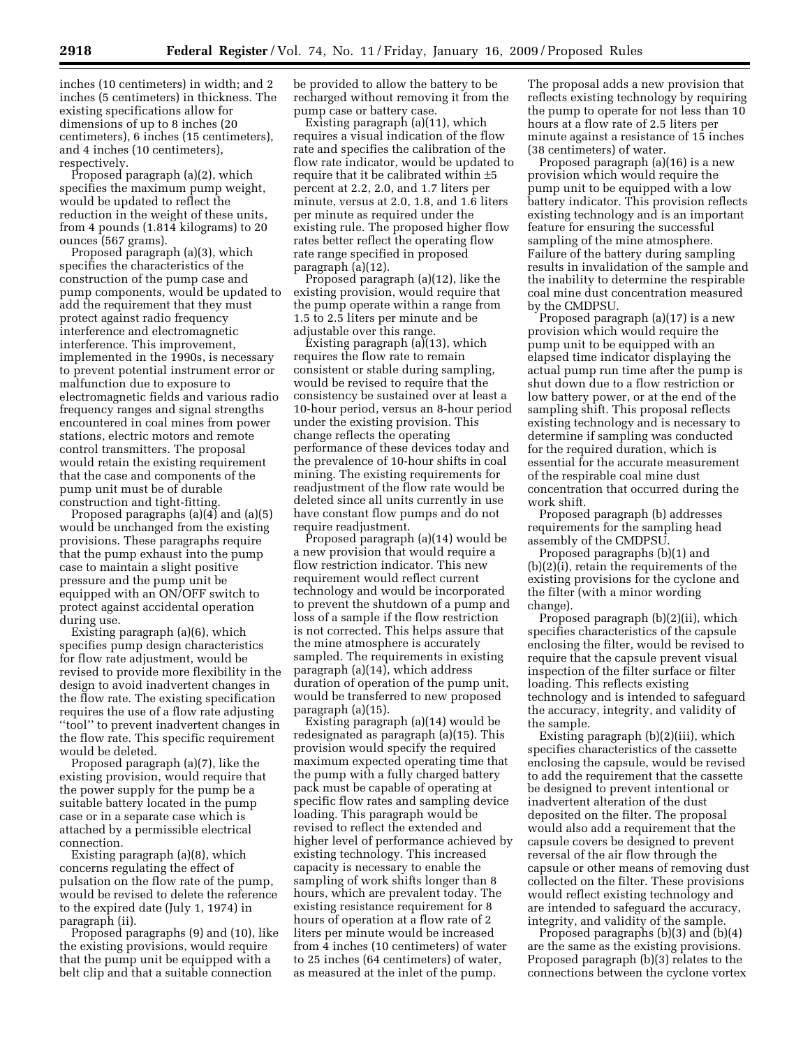inches (10 centimeters) in width; and 2 inches (5 centimeters) in thickness. The existing specifications allow for dimensions of up to 8 inches (20 centimeters), 6 inches (15 centimeters), and 4 inches (10 centimeters), respectively.

Proposed paragraph (a)(2), which specifies the maximum pump weight, would be updated to reflect the reduction in the weight of these units, from 4 pounds (1.814 kilograms) to 20 ounces (567 grams).

Proposed paragraph (a)(3), which specifies the characteristics of the construction of the pump case and pump components, would be updated to add the requirement that they must protect against radio frequency interference and electromagnetic interference. This improvement, implemented in the 1990s, is necessary to prevent potential instrument error or malfunction due to exposure to electromagnetic fields and various radio frequency ranges and signal strengths encountered in coal mines from power stations, electric motors and remote control transmitters. The proposal would retain the existing requirement that the case and components of the pump unit must be of durable construction and tight-fitting.

Proposed paragraphs (a)(4) and (a)(5) would be unchanged from the existing provisions. These paragraphs require that the pump exhaust into the pump case to maintain a slight positive pressure and the pump unit be equipped with an ON/OFF switch to protect against accidental operation during use.

Existing paragraph (a)(6), which specifies pump design characteristics for flow rate adjustment, would be revised to provide more flexibility in the design to avoid inadvertent changes in the flow rate. The existing specification requires the use of a flow rate adjusting ''tool'' to prevent inadvertent changes in the flow rate. This specific requirement would be deleted.

Proposed paragraph (a)(7), like the existing provision, would require that the power supply for the pump be a suitable battery located in the pump case or in a separate case which is attached by a permissible electrical connection.

Existing paragraph (a)(8), which concerns regulating the effect of pulsation on the flow rate of the pump, would be revised to delete the reference to the expired date (July 1, 1974) in paragraph (ii).

Proposed paragraphs (9) and (10), like the existing provisions, would require that the pump unit be equipped with a belt clip and that a suitable connection

be provided to allow the battery to be recharged without removing it from the pump case or battery case.

Existing paragraph (a)(11), which requires a visual indication of the flow rate and specifies the calibration of the flow rate indicator, would be updated to require that it be calibrated within ±5 percent at 2.2, 2.0, and 1.7 liters per minute, versus at 2.0, 1.8, and 1.6 liters per minute as required under the existing rule. The proposed higher flow rates better reflect the operating flow rate range specified in proposed paragraph (a)(12).

Proposed paragraph (a)(12), like the existing provision, would require that the pump operate within a range from 1.5 to 2.5 liters per minute and be adjustable over this range.

Existing paragraph (a)(13), which requires the flow rate to remain consistent or stable during sampling, would be revised to require that the consistency be sustained over at least a 10-hour period, versus an 8-hour period under the existing provision. This change reflects the operating performance of these devices today and the prevalence of 10-hour shifts in coal mining. The existing requirements for readjustment of the flow rate would be deleted since all units currently in use have constant flow pumps and do not require readjustment.

Proposed paragraph (a)(14) would be a new provision that would require a flow restriction indicator. This new requirement would reflect current technology and would be incorporated to prevent the shutdown of a pump and loss of a sample if the flow restriction is not corrected. This helps assure that the mine atmosphere is accurately sampled. The requirements in existing paragraph (a)(14), which address duration of operation of the pump unit, would be transferred to new proposed paragraph (a)(15).

Existing paragraph (a)(14) would be redesignated as paragraph (a)(15). This provision would specify the required maximum expected operating time that the pump with a fully charged battery pack must be capable of operating at specific flow rates and sampling device loading. This paragraph would be revised to reflect the extended and higher level of performance achieved by existing technology. This increased capacity is necessary to enable the sampling of work shifts longer than 8 hours, which are prevalent today. The existing resistance requirement for 8 hours of operation at a flow rate of 2 liters per minute would be increased from 4 inches (10 centimeters) of water to 25 inches (64 centimeters) of water, as measured at the inlet of the pump.

The proposal adds a new provision that reflects existing technology by requiring the pump to operate for not less than 10 hours at a flow rate of 2.5 liters per minute against a resistance of 15 inches (38 centimeters) of water.

Proposed paragraph (a)(16) is a new provision which would require the pump unit to be equipped with a low battery indicator. This provision reflects existing technology and is an important feature for ensuring the successful sampling of the mine atmosphere. Failure of the battery during sampling results in invalidation of the sample and the inability to determine the respirable coal mine dust concentration measured by the CMDPSU.

Proposed paragraph (a)(17) is a new provision which would require the pump unit to be equipped with an elapsed time indicator displaying the actual pump run time after the pump is shut down due to a flow restriction or low battery power, or at the end of the sampling shift. This proposal reflects existing technology and is necessary to determine if sampling was conducted for the required duration, which is essential for the accurate measurement of the respirable coal mine dust concentration that occurred during the work shift.

Proposed paragraph (b) addresses requirements for the sampling head assembly of the CMDPSU.

Proposed paragraphs (b)(1) and (b)(2)(i), retain the requirements of the existing provisions for the cyclone and the filter (with a minor wording change).

Proposed paragraph (b)(2)(ii), which specifies characteristics of the capsule enclosing the filter, would be revised to require that the capsule prevent visual inspection of the filter surface or filter loading. This reflects existing technology and is intended to safeguard the accuracy, integrity, and validity of the sample.

Existing paragraph (b)(2)(iii), which specifies characteristics of the cassette enclosing the capsule, would be revised to add the requirement that the cassette be designed to prevent intentional or inadvertent alteration of the dust deposited on the filter. The proposal would also add a requirement that the capsule covers be designed to prevent reversal of the air flow through the capsule or other means of removing dust collected on the filter. These provisions would reflect existing technology and are intended to safeguard the accuracy, integrity, and validity of the sample.

Proposed paragraphs (b)(3) and (b)(4) are the same as the existing provisions. Proposed paragraph (b)(3) relates to the connections between the cyclone vortex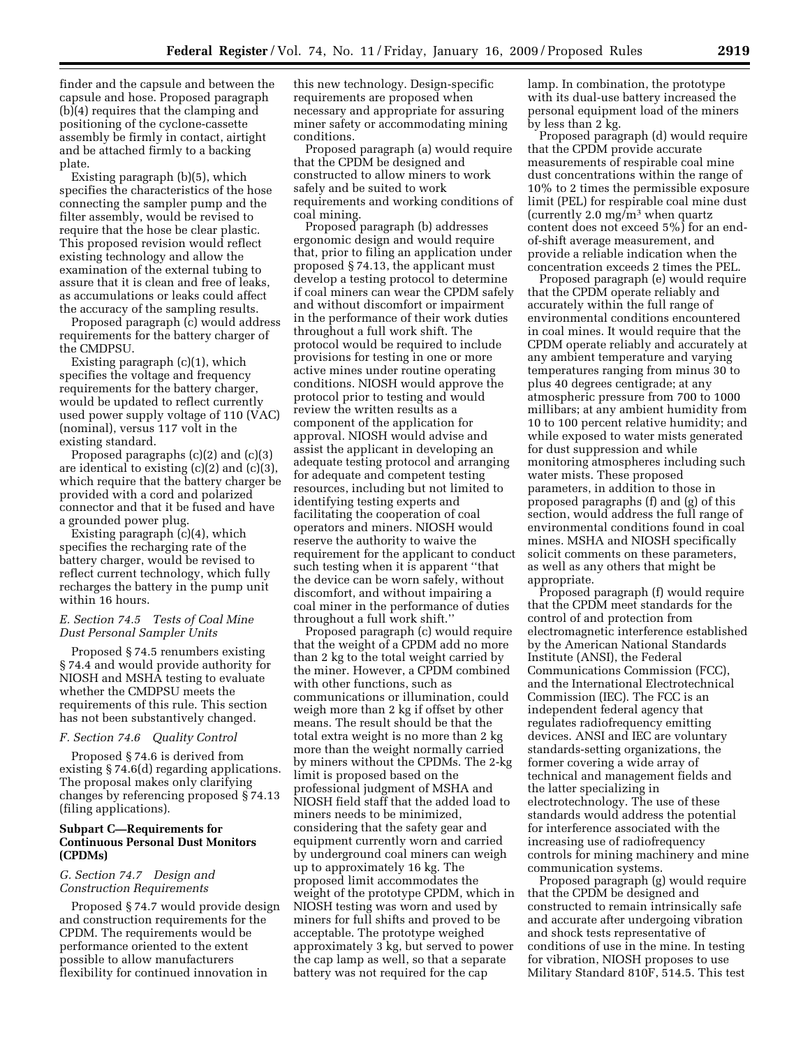finder and the capsule and between the capsule and hose. Proposed paragraph (b)(4) requires that the clamping and positioning of the cyclone-cassette assembly be firmly in contact, airtight and be attached firmly to a backing plate.

Existing paragraph (b)(5), which specifies the characteristics of the hose connecting the sampler pump and the filter assembly, would be revised to require that the hose be clear plastic. This proposed revision would reflect existing technology and allow the examination of the external tubing to assure that it is clean and free of leaks, as accumulations or leaks could affect the accuracy of the sampling results.

Proposed paragraph (c) would address requirements for the battery charger of the CMDPSU.

Existing paragraph (c)(1), which specifies the voltage and frequency requirements for the battery charger, would be updated to reflect currently used power supply voltage of 110 (VAC) (nominal), versus 117 volt in the existing standard.

Proposed paragraphs (c)(2) and (c)(3) are identical to existing (c)(2) and (c)(3), which require that the battery charger be provided with a cord and polarized connector and that it be fused and have a grounded power plug.

Existing paragraph (c)(4), which specifies the recharging rate of the battery charger, would be revised to reflect current technology, which fully recharges the battery in the pump unit within 16 hours.

## *E. Section 74.5 Tests of Coal Mine Dust Personal Sampler Units*

Proposed § 74.5 renumbers existing § 74.4 and would provide authority for NIOSH and MSHA testing to evaluate whether the CMDPSU meets the requirements of this rule. This section has not been substantively changed.

#### *F. Section 74.6 Quality Control*

Proposed § 74.6 is derived from existing § 74.6(d) regarding applications. The proposal makes only clarifying changes by referencing proposed § 74.13 (filing applications).

## **Subpart C—Requirements for Continuous Personal Dust Monitors (CPDMs)**

## *G. Section 74.7 Design and Construction Requirements*

Proposed § 74.7 would provide design and construction requirements for the CPDM. The requirements would be performance oriented to the extent possible to allow manufacturers flexibility for continued innovation in

this new technology. Design-specific requirements are proposed when necessary and appropriate for assuring miner safety or accommodating mining conditions.

Proposed paragraph (a) would require that the CPDM be designed and constructed to allow miners to work safely and be suited to work requirements and working conditions of coal mining.

Proposed paragraph (b) addresses ergonomic design and would require that, prior to filing an application under proposed § 74.13, the applicant must develop a testing protocol to determine if coal miners can wear the CPDM safely and without discomfort or impairment in the performance of their work duties throughout a full work shift. The protocol would be required to include provisions for testing in one or more active mines under routine operating conditions. NIOSH would approve the protocol prior to testing and would review the written results as a component of the application for approval. NIOSH would advise and assist the applicant in developing an adequate testing protocol and arranging for adequate and competent testing resources, including but not limited to identifying testing experts and facilitating the cooperation of coal operators and miners. NIOSH would reserve the authority to waive the requirement for the applicant to conduct such testing when it is apparent ''that the device can be worn safely, without discomfort, and without impairing a coal miner in the performance of duties throughout a full work shift.''

Proposed paragraph (c) would require that the weight of a CPDM add no more than 2 kg to the total weight carried by the miner. However, a CPDM combined with other functions, such as communications or illumination, could weigh more than 2 kg if offset by other means. The result should be that the total extra weight is no more than 2 kg more than the weight normally carried by miners without the CPDMs. The 2-kg limit is proposed based on the professional judgment of MSHA and NIOSH field staff that the added load to miners needs to be minimized, considering that the safety gear and equipment currently worn and carried by underground coal miners can weigh up to approximately 16 kg. The proposed limit accommodates the weight of the prototype CPDM, which in NIOSH testing was worn and used by miners for full shifts and proved to be acceptable. The prototype weighed approximately 3 kg, but served to power the cap lamp as well, so that a separate battery was not required for the cap

lamp. In combination, the prototype with its dual-use battery increased the personal equipment load of the miners by less than 2 kg.

Proposed paragraph (d) would require that the CPDM provide accurate measurements of respirable coal mine dust concentrations within the range of 10% to 2 times the permissible exposure limit (PEL) for respirable coal mine dust (currently 2.0 mg/m3 when quartz content does not exceed 5%) for an endof-shift average measurement, and provide a reliable indication when the concentration exceeds 2 times the PEL.

Proposed paragraph (e) would require that the CPDM operate reliably and accurately within the full range of environmental conditions encountered in coal mines. It would require that the CPDM operate reliably and accurately at any ambient temperature and varying temperatures ranging from minus 30 to plus 40 degrees centigrade; at any atmospheric pressure from 700 to 1000 millibars; at any ambient humidity from 10 to 100 percent relative humidity; and while exposed to water mists generated for dust suppression and while monitoring atmospheres including such water mists. These proposed parameters, in addition to those in proposed paragraphs (f) and (g) of this section, would address the full range of environmental conditions found in coal mines. MSHA and NIOSH specifically solicit comments on these parameters, as well as any others that might be appropriate.

Proposed paragraph (f) would require that the CPDM meet standards for the control of and protection from electromagnetic interference established by the American National Standards Institute (ANSI), the Federal Communications Commission (FCC), and the International Electrotechnical Commission (IEC). The FCC is an independent federal agency that regulates radiofrequency emitting devices. ANSI and IEC are voluntary standards-setting organizations, the former covering a wide array of technical and management fields and the latter specializing in electrotechnology. The use of these standards would address the potential for interference associated with the increasing use of radiofrequency controls for mining machinery and mine communication systems.

Proposed paragraph (g) would require that the CPDM be designed and constructed to remain intrinsically safe and accurate after undergoing vibration and shock tests representative of conditions of use in the mine. In testing for vibration, NIOSH proposes to use Military Standard 810F, 514.5. This test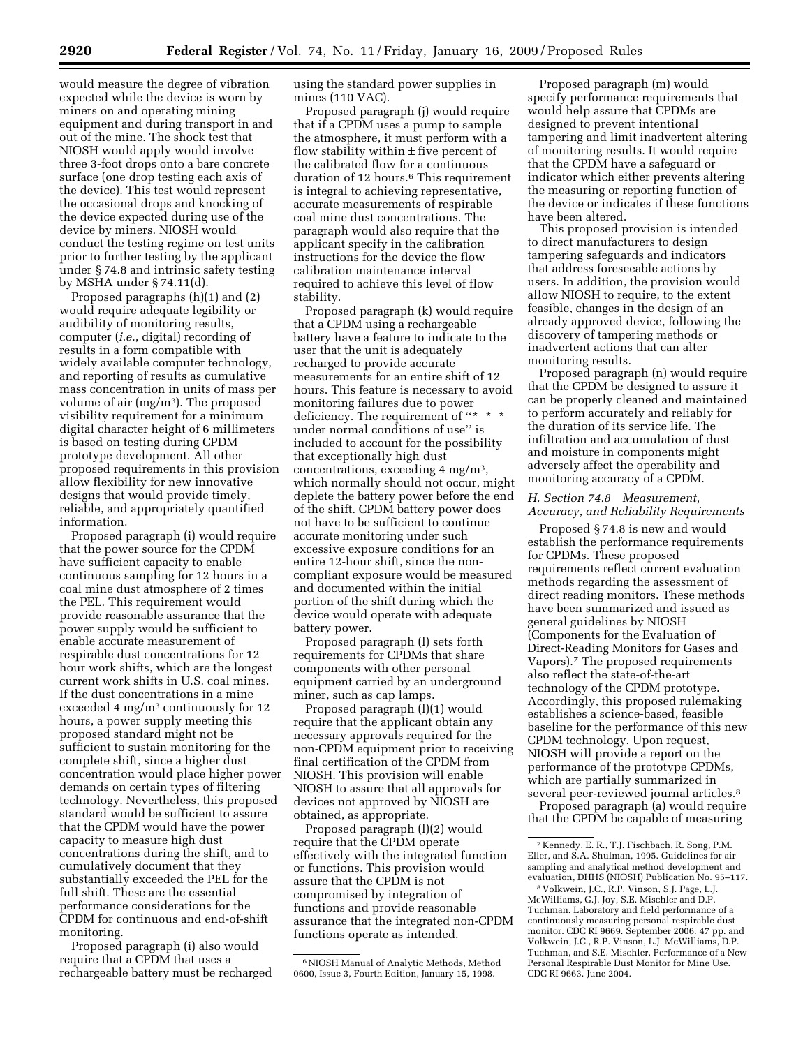would measure the degree of vibration expected while the device is worn by miners on and operating mining equipment and during transport in and out of the mine. The shock test that NIOSH would apply would involve three 3-foot drops onto a bare concrete surface (one drop testing each axis of the device). This test would represent the occasional drops and knocking of the device expected during use of the device by miners. NIOSH would conduct the testing regime on test units prior to further testing by the applicant under § 74.8 and intrinsic safety testing by MSHA under § 74.11(d).

Proposed paragraphs (h)(1) and (2) would require adequate legibility or audibility of monitoring results, computer (*i.e.*, digital) recording of results in a form compatible with widely available computer technology, and reporting of results as cumulative mass concentration in units of mass per volume of air (mg/m3). The proposed visibility requirement for a minimum digital character height of 6 millimeters is based on testing during CPDM prototype development. All other proposed requirements in this provision allow flexibility for new innovative designs that would provide timely, reliable, and appropriately quantified information.

Proposed paragraph (i) would require that the power source for the CPDM have sufficient capacity to enable continuous sampling for 12 hours in a coal mine dust atmosphere of 2 times the PEL. This requirement would provide reasonable assurance that the power supply would be sufficient to enable accurate measurement of respirable dust concentrations for 12 hour work shifts, which are the longest current work shifts in U.S. coal mines. If the dust concentrations in a mine exceeded 4 mg/m3 continuously for 12 hours, a power supply meeting this proposed standard might not be sufficient to sustain monitoring for the complete shift, since a higher dust concentration would place higher power demands on certain types of filtering technology. Nevertheless, this proposed standard would be sufficient to assure that the CPDM would have the power capacity to measure high dust concentrations during the shift, and to cumulatively document that they substantially exceeded the PEL for the full shift. These are the essential performance considerations for the CPDM for continuous and end-of-shift monitoring.

Proposed paragraph (i) also would require that a CPDM that uses a rechargeable battery must be recharged using the standard power supplies in mines (110 VAC).

Proposed paragraph (j) would require that if a CPDM uses a pump to sample the atmosphere, it must perform with a flow stability within  $\pm$  five percent of the calibrated flow for a continuous duration of 12 hours.<sup>6</sup> This requirement is integral to achieving representative, accurate measurements of respirable coal mine dust concentrations. The paragraph would also require that the applicant specify in the calibration instructions for the device the flow calibration maintenance interval required to achieve this level of flow stability.

Proposed paragraph (k) would require that a CPDM using a rechargeable battery have a feature to indicate to the user that the unit is adequately recharged to provide accurate measurements for an entire shift of 12 hours. This feature is necessary to avoid monitoring failures due to power deficiency. The requirement of "\* \* under normal conditions of use'' is included to account for the possibility that exceptionally high dust concentrations, exceeding 4 mg/m3, which normally should not occur, might deplete the battery power before the end of the shift. CPDM battery power does not have to be sufficient to continue accurate monitoring under such excessive exposure conditions for an entire 12-hour shift, since the noncompliant exposure would be measured and documented within the initial portion of the shift during which the device would operate with adequate battery power.

Proposed paragraph (l) sets forth requirements for CPDMs that share components with other personal equipment carried by an underground miner, such as cap lamps.

Proposed paragraph (l)(1) would require that the applicant obtain any necessary approvals required for the non-CPDM equipment prior to receiving final certification of the CPDM from NIOSH. This provision will enable NIOSH to assure that all approvals for devices not approved by NIOSH are obtained, as appropriate.

Proposed paragraph (l)(2) would require that the CPDM operate effectively with the integrated function or functions. This provision would assure that the CPDM is not compromised by integration of functions and provide reasonable assurance that the integrated non-CPDM functions operate as intended.

Proposed paragraph (m) would specify performance requirements that would help assure that CPDMs are designed to prevent intentional tampering and limit inadvertent altering of monitoring results. It would require that the CPDM have a safeguard or indicator which either prevents altering the measuring or reporting function of the device or indicates if these functions have been altered.

This proposed provision is intended to direct manufacturers to design tampering safeguards and indicators that address foreseeable actions by users. In addition, the provision would allow NIOSH to require, to the extent feasible, changes in the design of an already approved device, following the discovery of tampering methods or inadvertent actions that can alter monitoring results.

Proposed paragraph (n) would require that the CPDM be designed to assure it can be properly cleaned and maintained to perform accurately and reliably for the duration of its service life. The infiltration and accumulation of dust and moisture in components might adversely affect the operability and monitoring accuracy of a CPDM.

#### *H. Section 74.8 Measurement, Accuracy, and Reliability Requirements*

Proposed § 74.8 is new and would establish the performance requirements for CPDMs. These proposed requirements reflect current evaluation methods regarding the assessment of direct reading monitors. These methods have been summarized and issued as general guidelines by NIOSH (Components for the Evaluation of Direct-Reading Monitors for Gases and Vapors).7 The proposed requirements also reflect the state-of-the-art technology of the CPDM prototype. Accordingly, this proposed rulemaking establishes a science-based, feasible baseline for the performance of this new CPDM technology. Upon request, NIOSH will provide a report on the performance of the prototype CPDMs, which are partially summarized in several peer-reviewed journal articles.8

Proposed paragraph (a) would require that the CPDM be capable of measuring

<sup>6</sup>NIOSH Manual of Analytic Methods, Method 0600, Issue 3, Fourth Edition, January 15, 1998.

<sup>7</sup> Kennedy, E. R., T.J. Fischbach, R. Song, P.M. Eller, and S.A. Shulman, 1995. Guidelines for air sampling and analytical method development and evaluation, DHHS (NIOSH) Publication No. 95–117.

<sup>8</sup> Volkwein, J.C., R.P. Vinson, S.J. Page, L.J. McWilliams, G.J. Joy, S.E. Mischler and D.P. Tuchman. Laboratory and field performance of a continuously measuring personal respirable dust monitor. CDC RI 9669. September 2006. 47 pp. and Volkwein, J.C., R.P. Vinson, L.J. McWilliams, D.P. Tuchman, and S.E. Mischler. Performance of a New Personal Respirable Dust Monitor for Mine Use. CDC RI 9663. June 2004.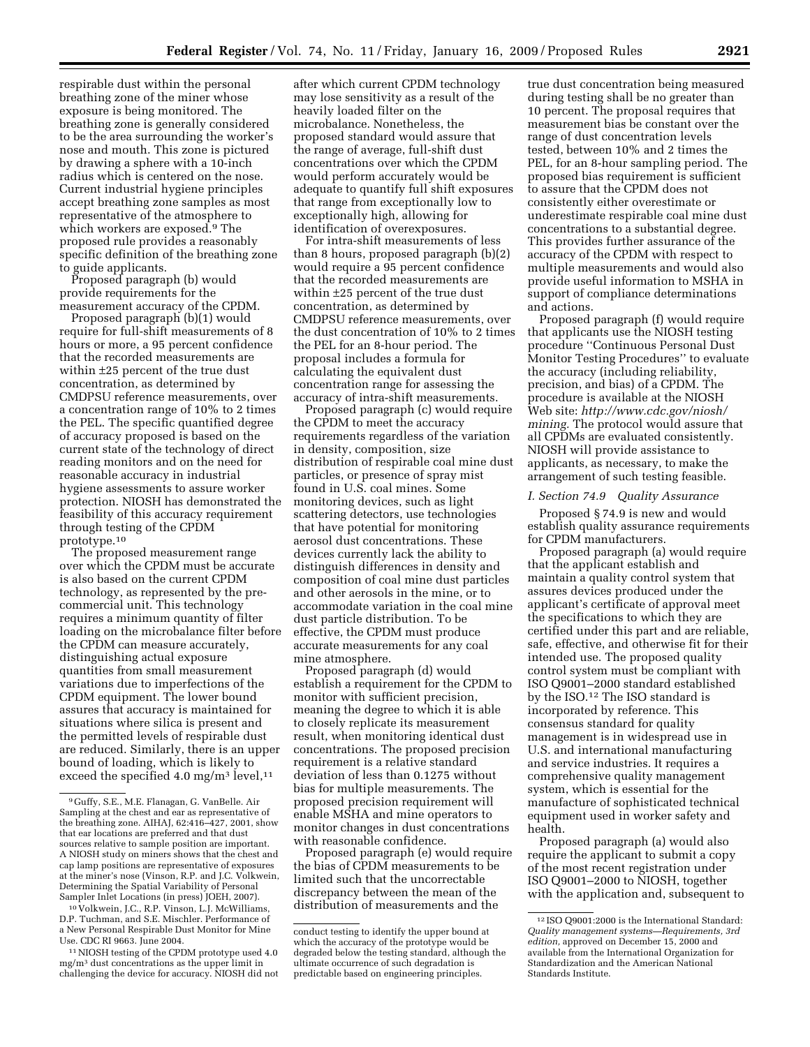respirable dust within the personal breathing zone of the miner whose exposure is being monitored. The breathing zone is generally considered to be the area surrounding the worker's nose and mouth. This zone is pictured by drawing a sphere with a 10-inch radius which is centered on the nose. Current industrial hygiene principles accept breathing zone samples as most representative of the atmosphere to which workers are exposed.9 The proposed rule provides a reasonably specific definition of the breathing zone to guide applicants.

Proposed paragraph (b) would provide requirements for the measurement accuracy of the CPDM.

Proposed paragraph (b)(1) would require for full-shift measurements of 8 hours or more, a 95 percent confidence that the recorded measurements are within ±25 percent of the true dust concentration, as determined by CMDPSU reference measurements, over a concentration range of 10% to 2 times the PEL. The specific quantified degree of accuracy proposed is based on the current state of the technology of direct reading monitors and on the need for reasonable accuracy in industrial hygiene assessments to assure worker protection. NIOSH has demonstrated the feasibility of this accuracy requirement through testing of the CPDM prototype.10

The proposed measurement range over which the CPDM must be accurate is also based on the current CPDM technology, as represented by the precommercial unit. This technology requires a minimum quantity of filter loading on the microbalance filter before the CPDM can measure accurately, distinguishing actual exposure quantities from small measurement variations due to imperfections of the CPDM equipment. The lower bound assures that accuracy is maintained for situations where silica is present and the permitted levels of respirable dust are reduced. Similarly, there is an upper bound of loading, which is likely to exceed the specified 4.0 mg/m<sup>3</sup> level,<sup>11</sup>

after which current CPDM technology may lose sensitivity as a result of the heavily loaded filter on the microbalance. Nonetheless, the proposed standard would assure that the range of average, full-shift dust concentrations over which the CPDM would perform accurately would be adequate to quantify full shift exposures that range from exceptionally low to exceptionally high, allowing for identification of overexposures.

For intra-shift measurements of less than 8 hours, proposed paragraph (b)(2) would require a 95 percent confidence that the recorded measurements are within ±25 percent of the true dust concentration, as determined by CMDPSU reference measurements, over the dust concentration of 10% to 2 times the PEL for an 8-hour period. The proposal includes a formula for calculating the equivalent dust concentration range for assessing the accuracy of intra-shift measurements.

Proposed paragraph (c) would require the CPDM to meet the accuracy requirements regardless of the variation in density, composition, size distribution of respirable coal mine dust particles, or presence of spray mist found in U.S. coal mines. Some monitoring devices, such as light scattering detectors, use technologies that have potential for monitoring aerosol dust concentrations. These devices currently lack the ability to distinguish differences in density and composition of coal mine dust particles and other aerosols in the mine, or to accommodate variation in the coal mine dust particle distribution. To be effective, the CPDM must produce accurate measurements for any coal mine atmosphere.

Proposed paragraph (d) would establish a requirement for the CPDM to monitor with sufficient precision, meaning the degree to which it is able to closely replicate its measurement result, when monitoring identical dust concentrations. The proposed precision requirement is a relative standard deviation of less than 0.1275 without bias for multiple measurements. The proposed precision requirement will enable MSHA and mine operators to monitor changes in dust concentrations with reasonable confidence.

Proposed paragraph (e) would require the bias of CPDM measurements to be limited such that the uncorrectable discrepancy between the mean of the distribution of measurements and the

true dust concentration being measured during testing shall be no greater than 10 percent. The proposal requires that measurement bias be constant over the range of dust concentration levels tested, between 10% and 2 times the PEL, for an 8-hour sampling period. The proposed bias requirement is sufficient to assure that the CPDM does not consistently either overestimate or underestimate respirable coal mine dust concentrations to a substantial degree. This provides further assurance of the accuracy of the CPDM with respect to multiple measurements and would also provide useful information to MSHA in support of compliance determinations and actions.

Proposed paragraph (f) would require that applicants use the NIOSH testing procedure ''Continuous Personal Dust Monitor Testing Procedures'' to evaluate the accuracy (including reliability, precision, and bias) of a CPDM. The procedure is available at the NIOSH Web site: *http://www.cdc.gov/niosh/ mining.* The protocol would assure that all CPDMs are evaluated consistently. NIOSH will provide assistance to applicants, as necessary, to make the arrangement of such testing feasible.

## *I. Section 74.9 Quality Assurance*

Proposed § 74.9 is new and would establish quality assurance requirements for CPDM manufacturers.

Proposed paragraph (a) would require that the applicant establish and maintain a quality control system that assures devices produced under the applicant's certificate of approval meet the specifications to which they are certified under this part and are reliable, safe, effective, and otherwise fit for their intended use. The proposed quality control system must be compliant with ISO Q9001–2000 standard established by the ISO.12 The ISO standard is incorporated by reference. This consensus standard for quality management is in widespread use in U.S. and international manufacturing and service industries. It requires a comprehensive quality management system, which is essential for the manufacture of sophisticated technical equipment used in worker safety and health.

Proposed paragraph (a) would also require the applicant to submit a copy of the most recent registration under ISO Q9001–2000 to NIOSH, together with the application and, subsequent to

<sup>9</sup> Guffy, S.E., M.E. Flanagan, G. VanBelle. Air Sampling at the chest and ear as representative of the breathing zone. AIHAJ, 62:416–427, 2001, show that ear locations are preferred and that dust sources relative to sample position are important. A NIOSH study on miners shows that the chest and cap lamp positions are representative of exposures at the miner's nose (Vinson, R.P. and J.C. Volkwein, Determining the Spatial Variability of Personal Sampler Inlet Locations (in press) JOEH, 2007).

<sup>10</sup> Volkwein, J.C., R.P. Vinson, L.J. McWilliams, D.P. Tuchman, and S.E. Mischler. Performance of a New Personal Respirable Dust Monitor for Mine Use. CDC RI 9663. June 2004.

<sup>11</sup>NIOSH testing of the CPDM prototype used 4.0 mg/m3 dust concentrations as the upper limit in challenging the device for accuracy. NIOSH did not

conduct testing to identify the upper bound at which the accuracy of the prototype would be degraded below the testing standard, although the ultimate occurrence of such degradation is predictable based on engineering principles.

<sup>12</sup> ISO Q9001:2000 is the International Standard: *Quality management systems—Requirements, 3rd edition,* approved on December 15, 2000 and available from the International Organization for Standardization and the American National Standards Institute.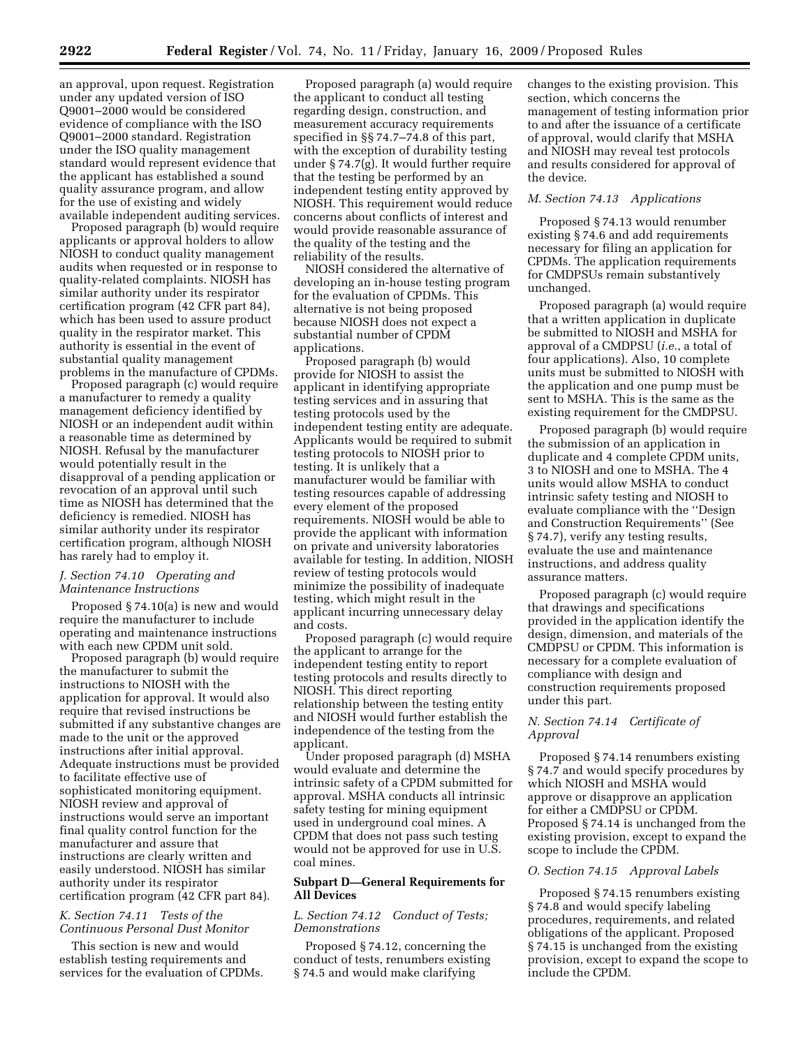an approval, upon request. Registration under any updated version of ISO Q9001–2000 would be considered evidence of compliance with the ISO Q9001–2000 standard. Registration under the ISO quality management standard would represent evidence that the applicant has established a sound quality assurance program, and allow for the use of existing and widely available independent auditing services.

Proposed paragraph (b) would require applicants or approval holders to allow NIOSH to conduct quality management audits when requested or in response to quality-related complaints. NIOSH has similar authority under its respirator certification program (42 CFR part 84), which has been used to assure product quality in the respirator market. This authority is essential in the event of substantial quality management problems in the manufacture of CPDMs.

Proposed paragraph (c) would require a manufacturer to remedy a quality management deficiency identified by NIOSH or an independent audit within a reasonable time as determined by NIOSH. Refusal by the manufacturer would potentially result in the disapproval of a pending application or revocation of an approval until such time as NIOSH has determined that the deficiency is remedied. NIOSH has similar authority under its respirator certification program, although NIOSH has rarely had to employ it.

### *J. Section 74.10 Operating and Maintenance Instructions*

Proposed § 74.10(a) is new and would require the manufacturer to include operating and maintenance instructions with each new CPDM unit sold.

Proposed paragraph (b) would require the manufacturer to submit the instructions to NIOSH with the application for approval. It would also require that revised instructions be submitted if any substantive changes are made to the unit or the approved instructions after initial approval. Adequate instructions must be provided to facilitate effective use of sophisticated monitoring equipment. NIOSH review and approval of instructions would serve an important final quality control function for the manufacturer and assure that instructions are clearly written and easily understood. NIOSH has similar authority under its respirator certification program (42 CFR part 84).

## *K. Section 74.11 Tests of the Continuous Personal Dust Monitor*

This section is new and would establish testing requirements and services for the evaluation of CPDMs.

Proposed paragraph (a) would require the applicant to conduct all testing regarding design, construction, and measurement accuracy requirements specified in §§ 74.7–74.8 of this part, with the exception of durability testing under § 74.7(g). It would further require that the testing be performed by an independent testing entity approved by NIOSH. This requirement would reduce concerns about conflicts of interest and would provide reasonable assurance of the quality of the testing and the reliability of the results.

NIOSH considered the alternative of developing an in-house testing program for the evaluation of CPDMs. This alternative is not being proposed because NIOSH does not expect a substantial number of CPDM applications.

Proposed paragraph (b) would provide for NIOSH to assist the applicant in identifying appropriate testing services and in assuring that testing protocols used by the independent testing entity are adequate. Applicants would be required to submit testing protocols to NIOSH prior to testing. It is unlikely that a manufacturer would be familiar with testing resources capable of addressing every element of the proposed requirements. NIOSH would be able to provide the applicant with information on private and university laboratories available for testing. In addition, NIOSH review of testing protocols would minimize the possibility of inadequate testing, which might result in the applicant incurring unnecessary delay and costs.

Proposed paragraph (c) would require the applicant to arrange for the independent testing entity to report testing protocols and results directly to NIOSH. This direct reporting relationship between the testing entity and NIOSH would further establish the independence of the testing from the applicant.

Under proposed paragraph (d) MSHA would evaluate and determine the intrinsic safety of a CPDM submitted for approval. MSHA conducts all intrinsic safety testing for mining equipment used in underground coal mines. A CPDM that does not pass such testing would not be approved for use in U.S. coal mines.

## **Subpart D—General Requirements for All Devices**

# *L. Section 74.12 Conduct of Tests; Demonstrations*

Proposed § 74.12, concerning the conduct of tests, renumbers existing § 74.5 and would make clarifying

changes to the existing provision. This section, which concerns the management of testing information prior to and after the issuance of a certificate of approval, would clarify that MSHA and NIOSH may reveal test protocols and results considered for approval of the device.

## *M. Section 74.13 Applications*

Proposed § 74.13 would renumber existing § 74.6 and add requirements necessary for filing an application for CPDMs. The application requirements for CMDPSUs remain substantively unchanged.

Proposed paragraph (a) would require that a written application in duplicate be submitted to NIOSH and MSHA for approval of a CMDPSU (*i.e.*, a total of four applications). Also, 10 complete units must be submitted to NIOSH with the application and one pump must be sent to MSHA. This is the same as the existing requirement for the CMDPSU.

Proposed paragraph (b) would require the submission of an application in duplicate and 4 complete CPDM units, 3 to NIOSH and one to MSHA. The 4 units would allow MSHA to conduct intrinsic safety testing and NIOSH to evaluate compliance with the ''Design and Construction Requirements'' (See § 74.7), verify any testing results, evaluate the use and maintenance instructions, and address quality assurance matters.

Proposed paragraph (c) would require that drawings and specifications provided in the application identify the design, dimension, and materials of the CMDPSU or CPDM. This information is necessary for a complete evaluation of compliance with design and construction requirements proposed under this part.

## *N. Section 74.14 Certificate of Approval*

Proposed § 74.14 renumbers existing § 74.7 and would specify procedures by which NIOSH and MSHA would approve or disapprove an application for either a CMDPSU or CPDM. Proposed § 74.14 is unchanged from the existing provision, except to expand the scope to include the CPDM.

#### *O. Section 74.15 Approval Labels*

Proposed § 74.15 renumbers existing § 74.8 and would specify labeling procedures, requirements, and related obligations of the applicant. Proposed § 74.15 is unchanged from the existing provision, except to expand the scope to include the CPDM.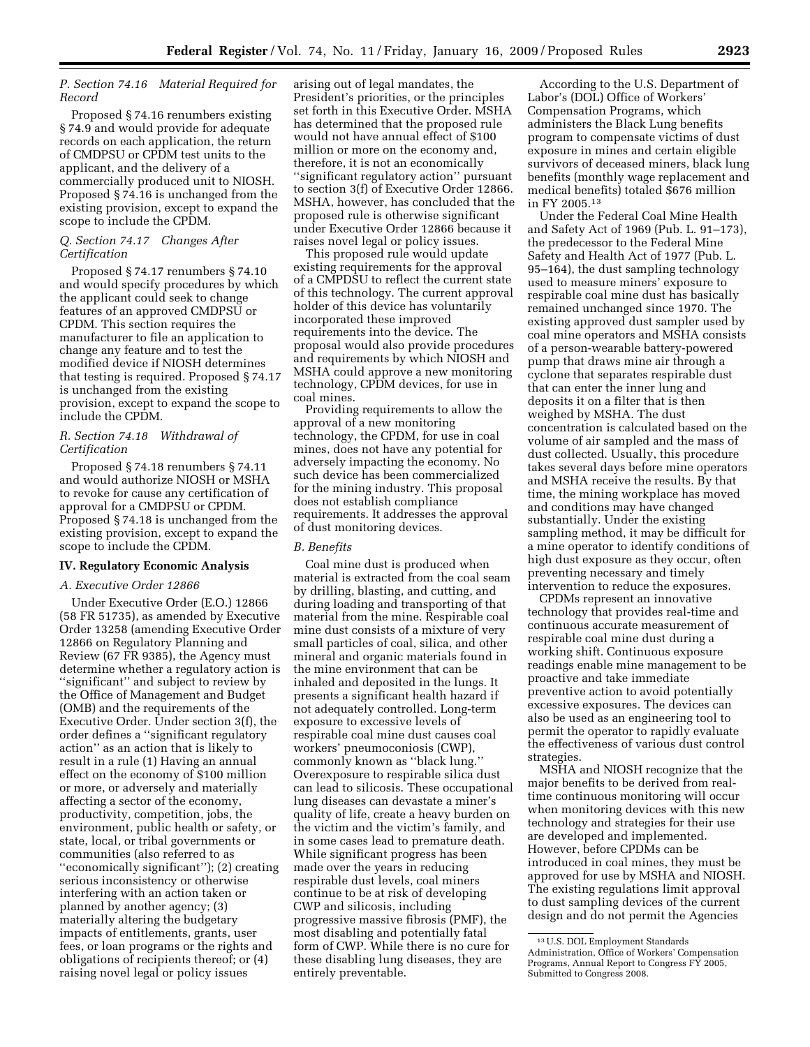## *P. Section 74.16 Material Required for Record*

Proposed § 74.16 renumbers existing § 74.9 and would provide for adequate records on each application, the return of CMDPSU or CPDM test units to the applicant, and the delivery of a commercially produced unit to NIOSH. Proposed § 74.16 is unchanged from the existing provision, except to expand the scope to include the CPDM.

## *Q. Section 74.17 Changes After Certification*

Proposed § 74.17 renumbers § 74.10 and would specify procedures by which the applicant could seek to change features of an approved CMDPSU or CPDM. This section requires the manufacturer to file an application to change any feature and to test the modified device if NIOSH determines that testing is required. Proposed § 74.17 is unchanged from the existing provision, except to expand the scope to include the CPDM.

### *R. Section 74.18 Withdrawal of Certification*

Proposed § 74.18 renumbers § 74.11 and would authorize NIOSH or MSHA to revoke for cause any certification of approval for a CMDPSU or CPDM. Proposed § 74.18 is unchanged from the existing provision, except to expand the scope to include the CPDM.

### **IV. Regulatory Economic Analysis**

### *A. Executive Order 12866*

Under Executive Order (E.O.) 12866 (58 FR 51735), as amended by Executive Order 13258 (amending Executive Order 12866 on Regulatory Planning and Review (67 FR 9385), the Agency must determine whether a regulatory action is ''significant'' and subject to review by the Office of Management and Budget (OMB) and the requirements of the Executive Order. Under section 3(f), the order defines a ''significant regulatory action'' as an action that is likely to result in a rule (1) Having an annual effect on the economy of \$100 million or more, or adversely and materially affecting a sector of the economy, productivity, competition, jobs, the environment, public health or safety, or state, local, or tribal governments or communities (also referred to as ''economically significant''); (2) creating serious inconsistency or otherwise interfering with an action taken or planned by another agency; (3) materially altering the budgetary impacts of entitlements, grants, user fees, or loan programs or the rights and obligations of recipients thereof; or (4) raising novel legal or policy issues

arising out of legal mandates, the President's priorities, or the principles set forth in this Executive Order. MSHA has determined that the proposed rule would not have annual effect of \$100 million or more on the economy and, therefore, it is not an economically ''significant regulatory action'' pursuant to section 3(f) of Executive Order 12866. MSHA, however, has concluded that the proposed rule is otherwise significant under Executive Order 12866 because it raises novel legal or policy issues.

This proposed rule would update existing requirements for the approval of a CMPDSU to reflect the current state of this technology. The current approval holder of this device has voluntarily incorporated these improved requirements into the device. The proposal would also provide procedures and requirements by which NIOSH and MSHA could approve a new monitoring technology, CPDM devices, for use in coal mines.

Providing requirements to allow the approval of a new monitoring technology, the CPDM, for use in coal mines, does not have any potential for adversely impacting the economy. No such device has been commercialized for the mining industry. This proposal does not establish compliance requirements. It addresses the approval of dust monitoring devices.

### *B. Benefits*

Coal mine dust is produced when material is extracted from the coal seam by drilling, blasting, and cutting, and during loading and transporting of that material from the mine. Respirable coal mine dust consists of a mixture of very small particles of coal, silica, and other mineral and organic materials found in the mine environment that can be inhaled and deposited in the lungs. It presents a significant health hazard if not adequately controlled. Long-term exposure to excessive levels of respirable coal mine dust causes coal workers' pneumoconiosis (CWP), commonly known as ''black lung.'' Overexposure to respirable silica dust can lead to silicosis. These occupational lung diseases can devastate a miner's quality of life, create a heavy burden on the victim and the victim's family, and in some cases lead to premature death. While significant progress has been made over the years in reducing respirable dust levels, coal miners continue to be at risk of developing CWP and silicosis, including progressive massive fibrosis (PMF), the most disabling and potentially fatal form of CWP. While there is no cure for these disabling lung diseases, they are entirely preventable.

According to the U.S. Department of Labor's (DOL) Office of Workers' Compensation Programs, which administers the Black Lung benefits program to compensate victims of dust exposure in mines and certain eligible survivors of deceased miners, black lung benefits (monthly wage replacement and medical benefits) totaled \$676 million in FY 2005.13

Under the Federal Coal Mine Health and Safety Act of 1969 (Pub. L. 91–173), the predecessor to the Federal Mine Safety and Health Act of 1977 (Pub. L. 95–164), the dust sampling technology used to measure miners' exposure to respirable coal mine dust has basically remained unchanged since 1970. The existing approved dust sampler used by coal mine operators and MSHA consists of a person-wearable battery-powered pump that draws mine air through a cyclone that separates respirable dust that can enter the inner lung and deposits it on a filter that is then weighed by MSHA. The dust concentration is calculated based on the volume of air sampled and the mass of dust collected. Usually, this procedure takes several days before mine operators and MSHA receive the results. By that time, the mining workplace has moved and conditions may have changed substantially. Under the existing sampling method, it may be difficult for a mine operator to identify conditions of high dust exposure as they occur, often preventing necessary and timely intervention to reduce the exposures.

CPDMs represent an innovative technology that provides real-time and continuous accurate measurement of respirable coal mine dust during a working shift. Continuous exposure readings enable mine management to be proactive and take immediate preventive action to avoid potentially excessive exposures. The devices can also be used as an engineering tool to permit the operator to rapidly evaluate the effectiveness of various dust control strategies.

MSHA and NIOSH recognize that the major benefits to be derived from realtime continuous monitoring will occur when monitoring devices with this new technology and strategies for their use are developed and implemented. However, before CPDMs can be introduced in coal mines, they must be approved for use by MSHA and NIOSH. The existing regulations limit approval to dust sampling devices of the current design and do not permit the Agencies

<sup>13</sup>U.S. DOL Employment Standards Administration, Office of Workers' Compensation Programs, Annual Report to Congress FY 2005, Submitted to Congress 2008.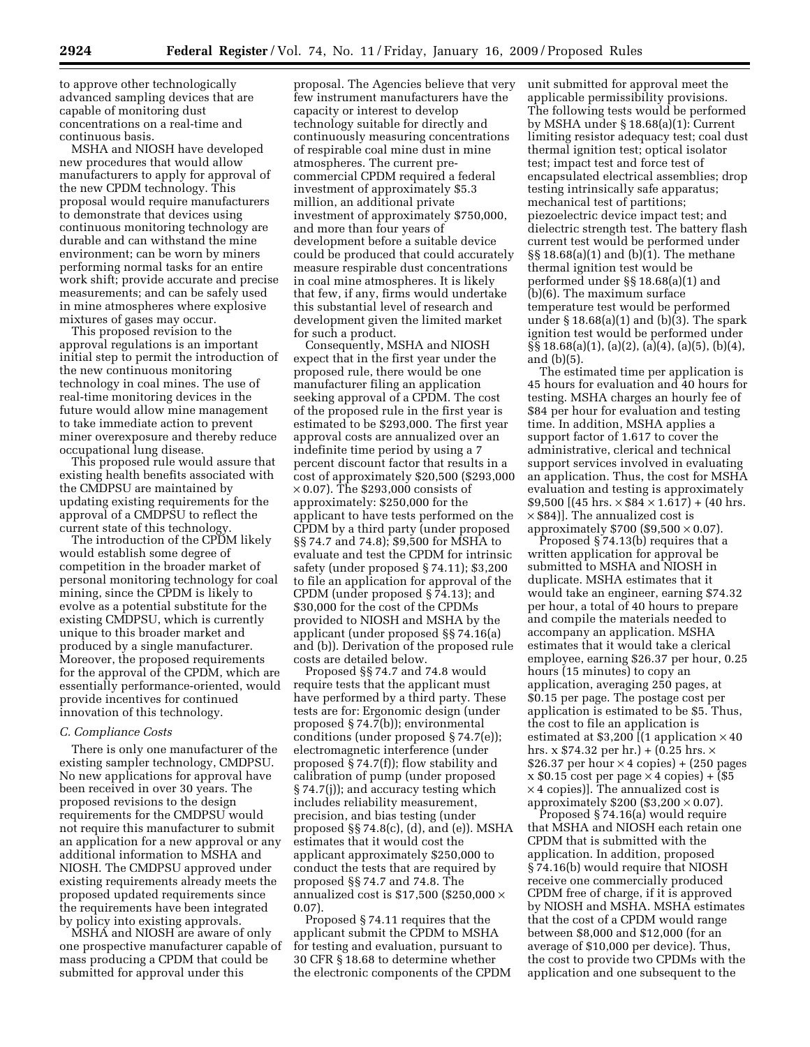to approve other technologically advanced sampling devices that are capable of monitoring dust concentrations on a real-time and continuous basis.

MSHA and NIOSH have developed new procedures that would allow manufacturers to apply for approval of the new CPDM technology. This proposal would require manufacturers to demonstrate that devices using continuous monitoring technology are durable and can withstand the mine environment; can be worn by miners performing normal tasks for an entire work shift; provide accurate and precise measurements; and can be safely used in mine atmospheres where explosive mixtures of gases may occur.

This proposed revision to the approval regulations is an important initial step to permit the introduction of the new continuous monitoring technology in coal mines. The use of real-time monitoring devices in the future would allow mine management to take immediate action to prevent miner overexposure and thereby reduce occupational lung disease.

This proposed rule would assure that existing health benefits associated with the CMDPSU are maintained by updating existing requirements for the approval of a CMDPSU to reflect the current state of this technology.

The introduction of the CPDM likely would establish some degree of competition in the broader market of personal monitoring technology for coal mining, since the CPDM is likely to evolve as a potential substitute for the existing CMDPSU, which is currently unique to this broader market and produced by a single manufacturer. Moreover, the proposed requirements for the approval of the CPDM, which are essentially performance-oriented, would provide incentives for continued innovation of this technology.

#### *C. Compliance Costs*

There is only one manufacturer of the existing sampler technology, CMDPSU. No new applications for approval have been received in over 30 years. The proposed revisions to the design requirements for the CMDPSU would not require this manufacturer to submit an application for a new approval or any additional information to MSHA and NIOSH. The CMDPSU approved under existing requirements already meets the proposed updated requirements since the requirements have been integrated by policy into existing approvals.

MSHA and NIOSH are aware of only one prospective manufacturer capable of mass producing a CPDM that could be submitted for approval under this

proposal. The Agencies believe that very few instrument manufacturers have the capacity or interest to develop technology suitable for directly and continuously measuring concentrations of respirable coal mine dust in mine atmospheres. The current precommercial CPDM required a federal investment of approximately \$5.3 million, an additional private investment of approximately \$750,000, and more than four years of development before a suitable device could be produced that could accurately measure respirable dust concentrations in coal mine atmospheres. It is likely that few, if any, firms would undertake this substantial level of research and development given the limited market for such a product.

Consequently, MSHA and NIOSH expect that in the first year under the proposed rule, there would be one manufacturer filing an application seeking approval of a CPDM. The cost of the proposed rule in the first year is estimated to be \$293,000. The first year approval costs are annualized over an indefinite time period by using a 7 percent discount factor that results in a cost of approximately \$20,500 (\$293,000  $\times$  0.07). The \$293,000 consists of approximately: \$250,000 for the applicant to have tests performed on the CPDM by a third party (under proposed §§ 74.7 and 74.8); \$9,500 for MSHA to evaluate and test the CPDM for intrinsic safety (under proposed § 74.11); \$3,200 to file an application for approval of the CPDM (under proposed § 74.13); and \$30,000 for the cost of the CPDMs provided to NIOSH and MSHA by the applicant (under proposed §§ 74.16(a) and (b)). Derivation of the proposed rule costs are detailed below.

Proposed §§ 74.7 and 74.8 would require tests that the applicant must have performed by a third party. These tests are for: Ergonomic design (under proposed § 74.7(b)); environmental conditions (under proposed § 74.7(e)); electromagnetic interference (under proposed § 74.7(f)); flow stability and calibration of pump (under proposed § 74.7(j)); and accuracy testing which includes reliability measurement, precision, and bias testing (under proposed §§ 74.8(c), (d), and (e)). MSHA estimates that it would cost the applicant approximately \$250,000 to conduct the tests that are required by proposed §§ 74.7 and 74.8. The annualized cost is \$17,500 (\$250,000  $\times$ 0.07).

Proposed § 74.11 requires that the applicant submit the CPDM to MSHA for testing and evaluation, pursuant to 30 CFR § 18.68 to determine whether the electronic components of the CPDM unit submitted for approval meet the applicable permissibility provisions. The following tests would be performed by MSHA under § 18.68(a)(1): Current limiting resistor adequacy test; coal dust thermal ignition test; optical isolator test; impact test and force test of encapsulated electrical assemblies; drop testing intrinsically safe apparatus; mechanical test of partitions; piezoelectric device impact test; and dielectric strength test. The battery flash current test would be performed under §§ 18.68(a)(1) and (b)(1). The methane thermal ignition test would be performed under §§ 18.68(a)(1) and (b)(6). The maximum surface temperature test would be performed under § 18.68(a)(1) and (b)(3). The spark ignition test would be performed under §§ 18.68(a)(1), (a)(2), (a)(4), (a)(5), (b)(4), and (b)(5).

The estimated time per application is 45 hours for evaluation and 40 hours for testing. MSHA charges an hourly fee of \$84 per hour for evaluation and testing time. In addition, MSHA applies a support factor of 1.617 to cover the administrative, clerical and technical support services involved in evaluating an application. Thus, the cost for MSHA evaluation and testing is approximately  $$9,500$  [(45 hrs.  $\times$  \$84  $\times$  1.617) + (40 hrs.  $\times$  \$84)]. The annualized cost is approximately  $$700 ($9,500 \times 0.07)$ .

Proposed § 74.13(b) requires that a written application for approval be submitted to MSHA and NIOSH in duplicate. MSHA estimates that it would take an engineer, earning \$74.32 per hour, a total of 40 hours to prepare and compile the materials needed to accompany an application. MSHA estimates that it would take a clerical employee, earning \$26.37 per hour, 0.25 hours (15 minutes) to copy an application, averaging 250 pages, at \$0.15 per page. The postage cost per application is estimated to be \$5. Thus, the cost to file an application is estimated at  $$3,200$  [(1 application  $\times$  40 hrs. x  $$74.32$  per hr.) + (0.25 hrs.  $\times$ \$26.37 per hour  $\times$  4 copies) + (250 pages  $x $0.15 \text{ cost per page} \times 4 \text{ copies}$  + (\$5 × 4 copies)]. The annualized cost is approximately  $$200 ($3,200 \times 0.07)$ .

Proposed § 74.16(a) would require that MSHA and NIOSH each retain one CPDM that is submitted with the application. In addition, proposed § 74.16(b) would require that NIOSH receive one commercially produced CPDM free of charge, if it is approved by NIOSH and MSHA. MSHA estimates that the cost of a CPDM would range between \$8,000 and \$12,000 (for an average of \$10,000 per device). Thus, the cost to provide two CPDMs with the application and one subsequent to the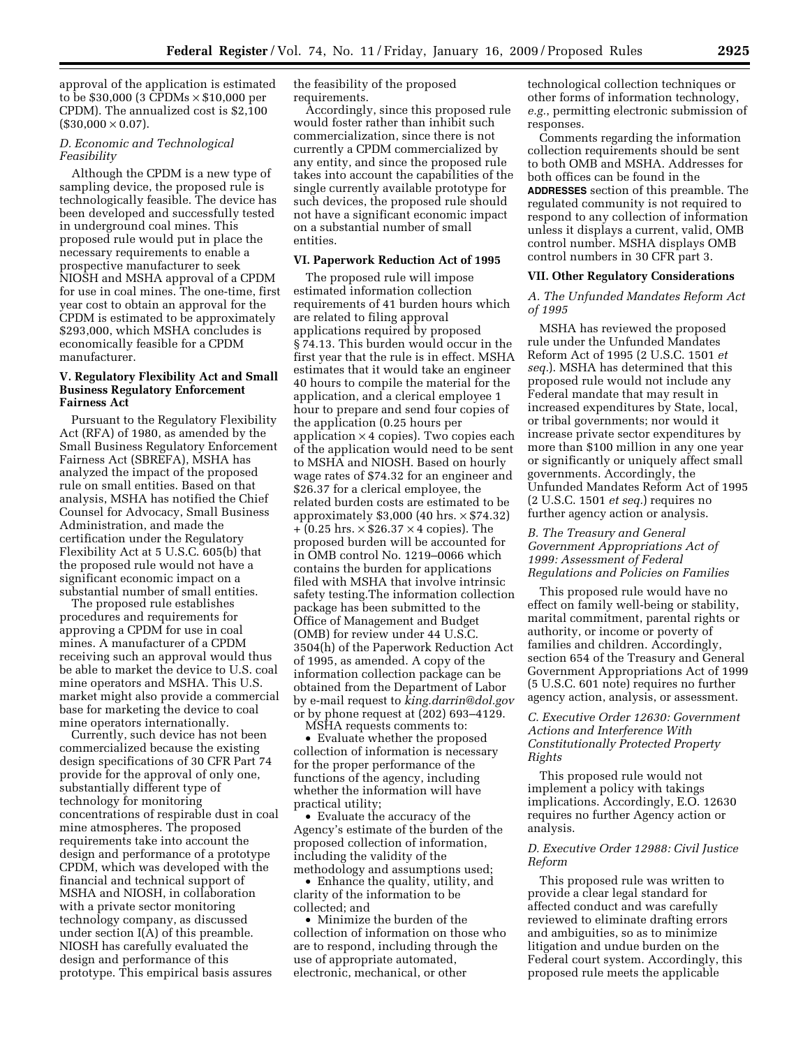approval of the application is estimated to be \$30,000 (3 CPDMs × \$10,000 per CPDM). The annualized cost is \$2,100  $($30,000 \times 0.07)$ .

## *D. Economic and Technological Feasibility*

Although the CPDM is a new type of sampling device, the proposed rule is technologically feasible. The device has been developed and successfully tested in underground coal mines. This proposed rule would put in place the necessary requirements to enable a prospective manufacturer to seek NIOSH and MSHA approval of a CPDM for use in coal mines. The one-time, first year cost to obtain an approval for the CPDM is estimated to be approximately \$293,000, which MSHA concludes is economically feasible for a CPDM manufacturer.

## **V. Regulatory Flexibility Act and Small Business Regulatory Enforcement Fairness Act**

Pursuant to the Regulatory Flexibility Act (RFA) of 1980, as amended by the Small Business Regulatory Enforcement Fairness Act (SBREFA), MSHA has analyzed the impact of the proposed rule on small entities. Based on that analysis, MSHA has notified the Chief Counsel for Advocacy, Small Business Administration, and made the certification under the Regulatory Flexibility Act at 5 U.S.C. 605(b) that the proposed rule would not have a significant economic impact on a substantial number of small entities.

The proposed rule establishes procedures and requirements for approving a CPDM for use in coal mines. A manufacturer of a CPDM receiving such an approval would thus be able to market the device to U.S. coal mine operators and MSHA. This U.S. market might also provide a commercial base for marketing the device to coal mine operators internationally.

Currently, such device has not been commercialized because the existing design specifications of 30 CFR Part 74 provide for the approval of only one, substantially different type of technology for monitoring concentrations of respirable dust in coal mine atmospheres. The proposed requirements take into account the design and performance of a prototype CPDM, which was developed with the financial and technical support of MSHA and NIOSH, in collaboration with a private sector monitoring technology company, as discussed under section I(A) of this preamble. NIOSH has carefully evaluated the design and performance of this prototype. This empirical basis assures

the feasibility of the proposed requirements.

Accordingly, since this proposed rule would foster rather than inhibit such commercialization, since there is not currently a CPDM commercialized by any entity, and since the proposed rule takes into account the capabilities of the single currently available prototype for such devices, the proposed rule should not have a significant economic impact on a substantial number of small entities.

### **VI. Paperwork Reduction Act of 1995**

The proposed rule will impose estimated information collection requirements of 41 burden hours which are related to filing approval applications required by proposed § 74.13. This burden would occur in the first year that the rule is in effect. MSHA estimates that it would take an engineer 40 hours to compile the material for the application, and a clerical employee 1 hour to prepare and send four copies of the application (0.25 hours per application  $\times$  4 copies). Two copies each of the application would need to be sent to MSHA and NIOSH. Based on hourly wage rates of \$74.32 for an engineer and \$26.37 for a clerical employee, the related burden costs are estimated to be approximately  $$3,000$  (40 hrs.  $\times$  \$74.32)  $+$  (0.25 hrs.  $\times$  \$26.37  $\times$  4 copies). The proposed burden will be accounted for in OMB control No. 1219–0066 which contains the burden for applications filed with MSHA that involve intrinsic safety testing.The information collection package has been submitted to the Office of Management and Budget (OMB) for review under 44 U.S.C. 3504(h) of the Paperwork Reduction Act of 1995, as amended. A copy of the information collection package can be obtained from the Department of Labor by e-mail request to *king.darrin@dol.gov*  or by phone request at (202) 693–4129.

MSHA requests comments to:

• Evaluate whether the proposed collection of information is necessary for the proper performance of the functions of the agency, including whether the information will have practical utility;

• Evaluate the accuracy of the Agency's estimate of the burden of the proposed collection of information, including the validity of the methodology and assumptions used;

• Enhance the quality, utility, and clarity of the information to be collected; and

• Minimize the burden of the collection of information on those who are to respond, including through the use of appropriate automated, electronic, mechanical, or other

technological collection techniques or other forms of information technology, *e.g.*, permitting electronic submission of responses.

Comments regarding the information collection requirements should be sent to both OMB and MSHA. Addresses for both offices can be found in the **ADDRESSES** section of this preamble. The regulated community is not required to respond to any collection of information unless it displays a current, valid, OMB control number. MSHA displays OMB control numbers in 30 CFR part 3.

#### **VII. Other Regulatory Considerations**

### *A. The Unfunded Mandates Reform Act of 1995*

MSHA has reviewed the proposed rule under the Unfunded Mandates Reform Act of 1995 (2 U.S.C. 1501 *et seq.*). MSHA has determined that this proposed rule would not include any Federal mandate that may result in increased expenditures by State, local, or tribal governments; nor would it increase private sector expenditures by more than \$100 million in any one year or significantly or uniquely affect small governments. Accordingly, the Unfunded Mandates Reform Act of 1995 (2 U.S.C. 1501 *et seq.*) requires no further agency action or analysis.

## *B. The Treasury and General Government Appropriations Act of 1999: Assessment of Federal Regulations and Policies on Families*

This proposed rule would have no effect on family well-being or stability, marital commitment, parental rights or authority, or income or poverty of families and children. Accordingly, section 654 of the Treasury and General Government Appropriations Act of 1999 (5 U.S.C. 601 note) requires no further agency action, analysis, or assessment.

## *C. Executive Order 12630: Government Actions and Interference With Constitutionally Protected Property Rights*

This proposed rule would not implement a policy with takings implications. Accordingly, E.O. 12630 requires no further Agency action or analysis.

### *D. Executive Order 12988: Civil Justice Reform*

This proposed rule was written to provide a clear legal standard for affected conduct and was carefully reviewed to eliminate drafting errors and ambiguities, so as to minimize litigation and undue burden on the Federal court system. Accordingly, this proposed rule meets the applicable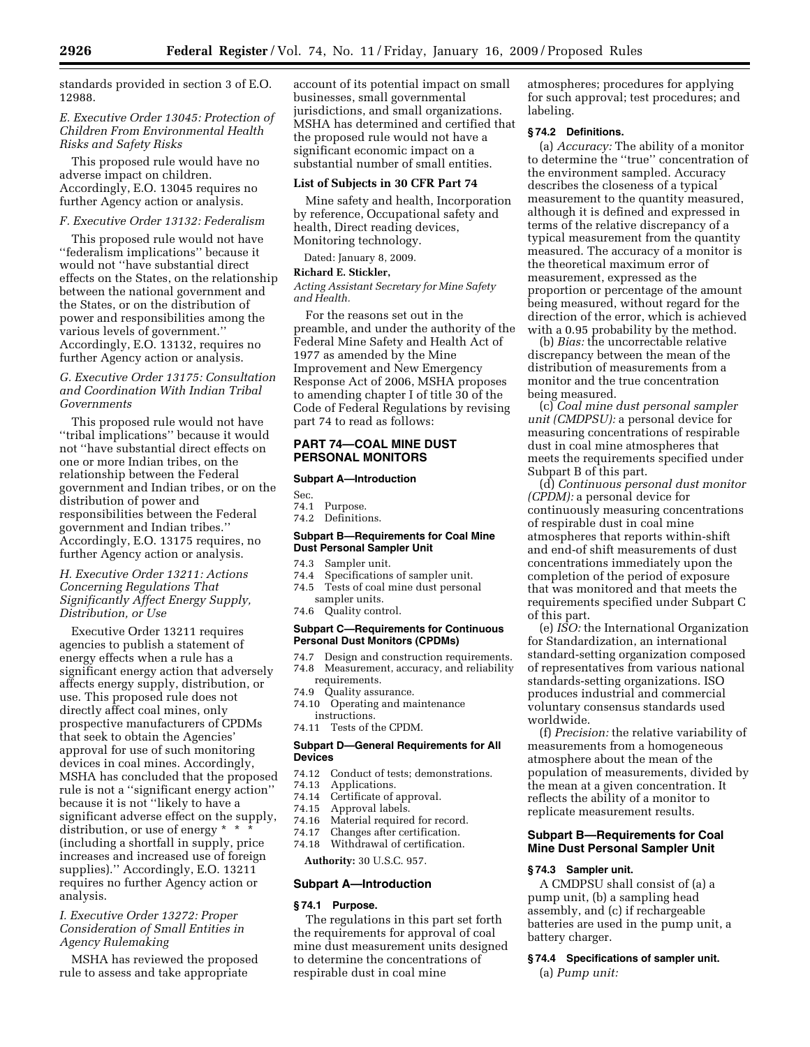standards provided in section 3 of E.O. 12988.

## *E. Executive Order 13045: Protection of Children From Environmental Health Risks and Safety Risks*

This proposed rule would have no adverse impact on children. Accordingly, E.O. 13045 requires no further Agency action or analysis.

## *F. Executive Order 13132: Federalism*

This proposed rule would not have ''federalism implications'' because it would not ''have substantial direct effects on the States, on the relationship between the national government and the States, or on the distribution of power and responsibilities among the various levels of government.'' Accordingly, E.O. 13132, requires no further Agency action or analysis.

## *G. Executive Order 13175: Consultation and Coordination With Indian Tribal Governments*

This proposed rule would not have ''tribal implications'' because it would not ''have substantial direct effects on one or more Indian tribes, on the relationship between the Federal government and Indian tribes, or on the distribution of power and responsibilities between the Federal government and Indian tribes.'' Accordingly, E.O. 13175 requires, no further Agency action or analysis.

## *H. Executive Order 13211: Actions Concerning Regulations That Significantly Affect Energy Supply, Distribution, or Use*

Executive Order 13211 requires agencies to publish a statement of energy effects when a rule has a significant energy action that adversely affects energy supply, distribution, or use. This proposed rule does not directly affect coal mines, only prospective manufacturers of CPDMs that seek to obtain the Agencies' approval for use of such monitoring devices in coal mines. Accordingly, MSHA has concluded that the proposed rule is not a ''significant energy action'' because it is not ''likely to have a significant adverse effect on the supply, distribution, or use of energy  $* * * *$ (including a shortfall in supply, price increases and increased use of foreign supplies).'' Accordingly, E.O. 13211 requires no further Agency action or analysis.

## *I. Executive Order 13272: Proper Consideration of Small Entities in Agency Rulemaking*

MSHA has reviewed the proposed rule to assess and take appropriate

account of its potential impact on small businesses, small governmental jurisdictions, and small organizations. MSHA has determined and certified that the proposed rule would not have a significant economic impact on a substantial number of small entities.

#### **List of Subjects in 30 CFR Part 74**

Mine safety and health, Incorporation by reference, Occupational safety and health, Direct reading devices, Monitoring technology.

Dated: January 8, 2009.

### **Richard E. Stickler,**

*Acting Assistant Secretary for Mine Safety and Health.* 

For the reasons set out in the preamble, and under the authority of the Federal Mine Safety and Health Act of 1977 as amended by the Mine Improvement and New Emergency Response Act of 2006, MSHA proposes to amending chapter I of title 30 of the Code of Federal Regulations by revising part 74 to read as follows:

## **PART 74—COAL MINE DUST PERSONAL MONITORS**

### **Subpart A—Introduction**

Sec.

- 74.1 Purpose.
- 74.2 Definitions.

## **Subpart B—Requirements for Coal Mine Dust Personal Sampler Unit**

- 74.3 Sampler unit.
- 74.4 Specifications of sampler unit.<br>74.5 Tests of coal mine dust persona
- Tests of coal mine dust personal sampler units.
- 74.6 Quality control.

### **Subpart C—Requirements for Continuous Personal Dust Monitors (CPDMs)**

- 74.7 Design and construction requirements. 74.8 Measurement, accuracy, and reliability requirements.
- 
- 74.9 Quality assurance.<br>74.10 Operating and ma Operating and maintenance instructions.
- 74.11 Tests of the CPDM.

#### **Subpart D—General Requirements for All Devices**

- 74.12 Conduct of tests; demonstrations.<br>74.13 Applications.
- 74.13 Applications.<br>74.14 Certificate of
- 74.14 Certificate of approval.<br>74.15 Approval labels.
- 74.15 Approval labels.
- Material required for record.
- 74.17 Changes after certification.
- 74.18 Withdrawal of certification.

**Authority:** 30 U.S.C. 957.

#### **Subpart A—Introduction**

## **§ 74.1 Purpose.**

The regulations in this part set forth the requirements for approval of coal mine dust measurement units designed to determine the concentrations of respirable dust in coal mine

atmospheres; procedures for applying for such approval; test procedures; and labeling.

### **§ 74.2 Definitions.**

(a) *Accuracy:* The ability of a monitor to determine the ''true'' concentration of the environment sampled. Accuracy describes the closeness of a typical measurement to the quantity measured, although it is defined and expressed in terms of the relative discrepancy of a typical measurement from the quantity measured. The accuracy of a monitor is the theoretical maximum error of measurement, expressed as the proportion or percentage of the amount being measured, without regard for the direction of the error, which is achieved with a 0.95 probability by the method.

(b) *Bias:* the uncorrectable relative discrepancy between the mean of the distribution of measurements from a monitor and the true concentration being measured.

(c) *Coal mine dust personal sampler unit (CMDPSU):* a personal device for measuring concentrations of respirable dust in coal mine atmospheres that meets the requirements specified under Subpart B of this part.

(d) *Continuous personal dust monitor (CPDM):* a personal device for continuously measuring concentrations of respirable dust in coal mine atmospheres that reports within-shift and end-of shift measurements of dust concentrations immediately upon the completion of the period of exposure that was monitored and that meets the requirements specified under Subpart C of this part.

(e) *ISO:* the International Organization for Standardization, an international standard-setting organization composed of representatives from various national standards-setting organizations. ISO produces industrial and commercial voluntary consensus standards used worldwide.

(f) *Precision:* the relative variability of measurements from a homogeneous atmosphere about the mean of the population of measurements, divided by the mean at a given concentration. It reflects the ability of a monitor to replicate measurement results.

## **Subpart B—Requirements for Coal Mine Dust Personal Sampler Unit**

## **§ 74.3 Sampler unit.**

A CMDPSU shall consist of (a) a pump unit, (b) a sampling head assembly, and (c) if rechargeable batteries are used in the pump unit, a battery charger.

# **§ 74.4 Specifications of sampler unit.**

(a) *Pump unit:*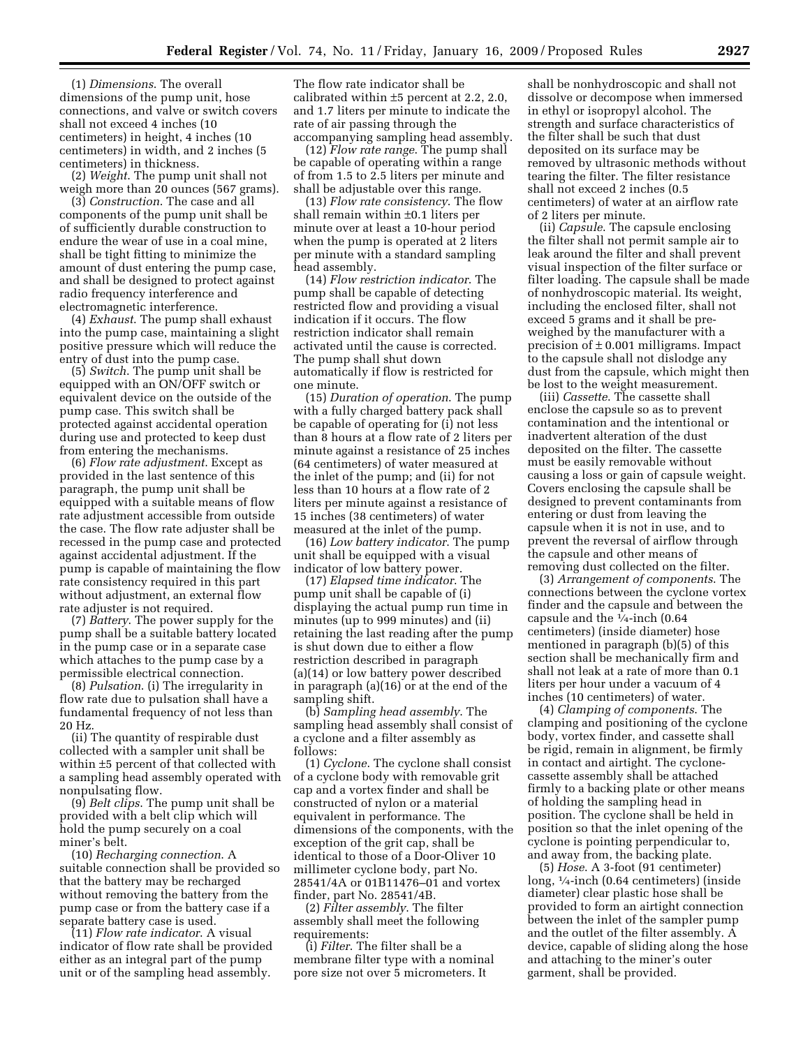(1) *Dimensions*. The overall dimensions of the pump unit, hose connections, and valve or switch covers shall not exceed 4 inches (10 centimeters) in height, 4 inches (10 centimeters) in width, and 2 inches (5 centimeters) in thickness.

(2) *Weight*. The pump unit shall not weigh more than 20 ounces (567 grams).

(3) *Construction*. The case and all components of the pump unit shall be of sufficiently durable construction to endure the wear of use in a coal mine, shall be tight fitting to minimize the amount of dust entering the pump case, and shall be designed to protect against radio frequency interference and electromagnetic interference.

(4) *Exhaust*. The pump shall exhaust into the pump case, maintaining a slight positive pressure which will reduce the entry of dust into the pump case.

(5) *Switch*. The pump unit shall be equipped with an ON/OFF switch or equivalent device on the outside of the pump case. This switch shall be protected against accidental operation during use and protected to keep dust from entering the mechanisms.

(6) *Flow rate adjustment*. Except as provided in the last sentence of this paragraph, the pump unit shall be equipped with a suitable means of flow rate adjustment accessible from outside the case. The flow rate adjuster shall be recessed in the pump case and protected against accidental adjustment. If the pump is capable of maintaining the flow rate consistency required in this part without adjustment, an external flow rate adjuster is not required.

(7) *Battery*. The power supply for the pump shall be a suitable battery located in the pump case or in a separate case which attaches to the pump case by a permissible electrical connection.

(8) *Pulsation*. (i) The irregularity in flow rate due to pulsation shall have a fundamental frequency of not less than 20 Hz.

(ii) The quantity of respirable dust collected with a sampler unit shall be within ±5 percent of that collected with a sampling head assembly operated with nonpulsating flow.

(9) *Belt clips*. The pump unit shall be provided with a belt clip which will hold the pump securely on a coal miner's belt.

(10) *Recharging connection*. A suitable connection shall be provided so that the battery may be recharged without removing the battery from the pump case or from the battery case if a separate battery case is used.

(11) *Flow rate indicator*. A visual indicator of flow rate shall be provided either as an integral part of the pump unit or of the sampling head assembly.

The flow rate indicator shall be calibrated within ±5 percent at 2.2, 2.0, and 1.7 liters per minute to indicate the rate of air passing through the accompanying sampling head assembly.

(12) *Flow rate range*. The pump shall be capable of operating within a range of from 1.5 to 2.5 liters per minute and shall be adjustable over this range.

(13) *Flow rate consistency*. The flow shall remain within ±0.1 liters per minute over at least a 10-hour period when the pump is operated at 2 liters per minute with a standard sampling head assembly.

(14) *Flow restriction indicator*. The pump shall be capable of detecting restricted flow and providing a visual indication if it occurs. The flow restriction indicator shall remain activated until the cause is corrected. The pump shall shut down automatically if flow is restricted for one minute.

(15) *Duration of operation*. The pump with a fully charged battery pack shall be capable of operating for (i) not less than 8 hours at a flow rate of 2 liters per minute against a resistance of 25 inches (64 centimeters) of water measured at the inlet of the pump; and (ii) for not less than 10 hours at a flow rate of 2 liters per minute against a resistance of 15 inches (38 centimeters) of water measured at the inlet of the pump.

(16) *Low battery indicator*. The pump unit shall be equipped with a visual indicator of low battery power.

(17) *Elapsed time indicator*. The pump unit shall be capable of (i) displaying the actual pump run time in minutes (up to 999 minutes) and (ii) retaining the last reading after the pump is shut down due to either a flow restriction described in paragraph (a)(14) or low battery power described in paragraph (a)(16) or at the end of the sampling shift.

(b) *Sampling head assembly*. The sampling head assembly shall consist of a cyclone and a filter assembly as follows:

(1) *Cyclone*. The cyclone shall consist of a cyclone body with removable grit cap and a vortex finder and shall be constructed of nylon or a material equivalent in performance. The dimensions of the components, with the exception of the grit cap, shall be identical to those of a Door-Oliver 10 millimeter cyclone body, part No. 28541/4A or 01B11476–01 and vortex finder, part No. 28541/4B.

(2) *Filter assembly*. The filter assembly shall meet the following requirements:

(i) *Filter*. The filter shall be a membrane filter type with a nominal pore size not over 5 micrometers. It

shall be nonhydroscopic and shall not dissolve or decompose when immersed in ethyl or isopropyl alcohol. The strength and surface characteristics of the filter shall be such that dust deposited on its surface may be removed by ultrasonic methods without tearing the filter. The filter resistance shall not exceed 2 inches (0.5 centimeters) of water at an airflow rate of 2 liters per minute.

(ii) *Capsule*. The capsule enclosing the filter shall not permit sample air to leak around the filter and shall prevent visual inspection of the filter surface or filter loading. The capsule shall be made of nonhydroscopic material. Its weight, including the enclosed filter, shall not exceed 5 grams and it shall be preweighed by the manufacturer with a precision of  $\pm$  0.001 milligrams. Impact to the capsule shall not dislodge any dust from the capsule, which might then be lost to the weight measurement.

(iii) *Cassette*. The cassette shall enclose the capsule so as to prevent contamination and the intentional or inadvertent alteration of the dust deposited on the filter. The cassette must be easily removable without causing a loss or gain of capsule weight. Covers enclosing the capsule shall be designed to prevent contaminants from entering or dust from leaving the capsule when it is not in use, and to prevent the reversal of airflow through the capsule and other means of removing dust collected on the filter.

(3) *Arrangement of components*. The connections between the cyclone vortex finder and the capsule and between the capsule and the  $\sqrt{1/4}$ -inch (0.64 centimeters) (inside diameter) hose mentioned in paragraph (b)(5) of this section shall be mechanically firm and shall not leak at a rate of more than 0.1 liters per hour under a vacuum of 4 inches (10 centimeters) of water.

(4) *Clamping of components*. The clamping and positioning of the cyclone body, vortex finder, and cassette shall be rigid, remain in alignment, be firmly in contact and airtight. The cyclonecassette assembly shall be attached firmly to a backing plate or other means of holding the sampling head in position. The cyclone shall be held in position so that the inlet opening of the cyclone is pointing perpendicular to, and away from, the backing plate.

(5) *Hose*. A 3-foot (91 centimeter) long, 1⁄4-inch (0.64 centimeters) (inside diameter) clear plastic hose shall be provided to form an airtight connection between the inlet of the sampler pump and the outlet of the filter assembly. A device, capable of sliding along the hose and attaching to the miner's outer garment, shall be provided.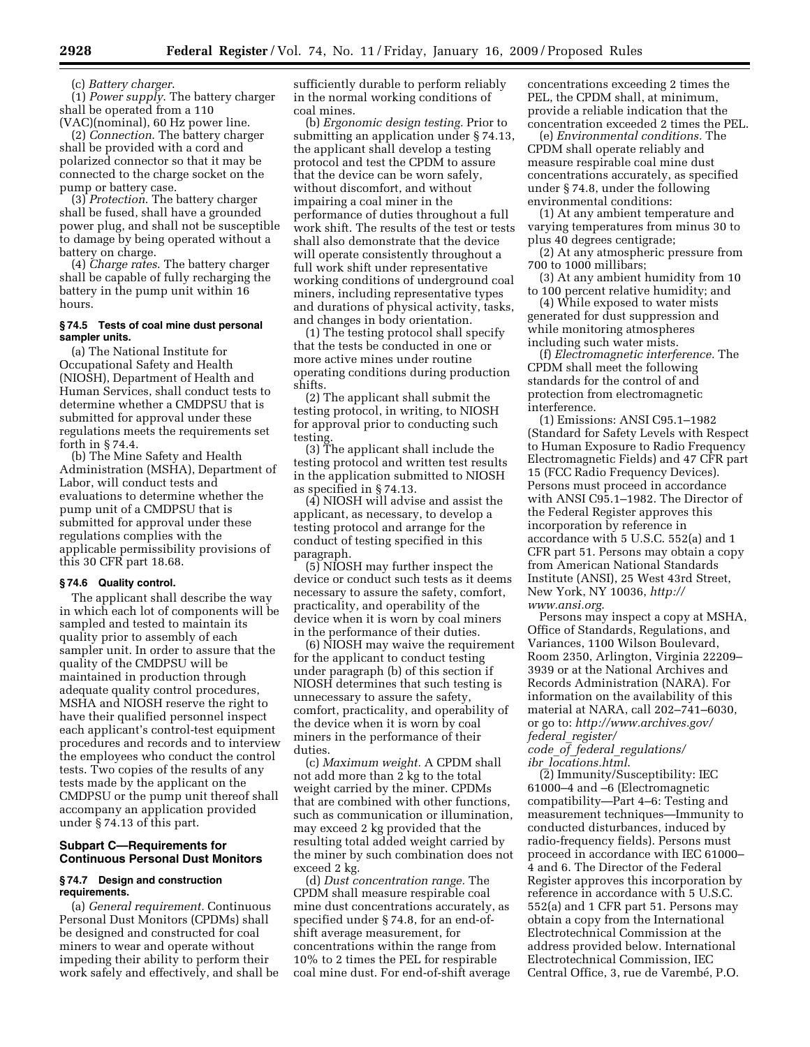(c) *Battery charger*.

(1) *Power supply*. The battery charger shall be operated from a 110 (VAC)(nominal), 60 Hz power line.

(2) *Connection*. The battery charger shall be provided with a cord and polarized connector so that it may be connected to the charge socket on the pump or battery case.

(3) *Protection*. The battery charger shall be fused, shall have a grounded power plug, and shall not be susceptible to damage by being operated without a battery on charge.

(4) *Charge rates*. The battery charger shall be capable of fully recharging the battery in the pump unit within 16 hours.

## **§ 74.5 Tests of coal mine dust personal sampler units.**

(a) The National Institute for Occupational Safety and Health (NIOSH), Department of Health and Human Services, shall conduct tests to determine whether a CMDPSU that is submitted for approval under these regulations meets the requirements set forth in § 74.4.

(b) The Mine Safety and Health Administration (MSHA), Department of Labor, will conduct tests and evaluations to determine whether the pump unit of a CMDPSU that is submitted for approval under these regulations complies with the applicable permissibility provisions of this 30 CFR part 18.68.

## **§ 74.6 Quality control.**

The applicant shall describe the way in which each lot of components will be sampled and tested to maintain its quality prior to assembly of each sampler unit. In order to assure that the quality of the CMDPSU will be maintained in production through adequate quality control procedures, MSHA and NIOSH reserve the right to have their qualified personnel inspect each applicant's control-test equipment procedures and records and to interview the employees who conduct the control tests. Two copies of the results of any tests made by the applicant on the CMDPSU or the pump unit thereof shall accompany an application provided under § 74.13 of this part.

## **Subpart C—Requirements for Continuous Personal Dust Monitors**

#### **§ 74.7 Design and construction requirements.**

(a) *General requirement.* Continuous Personal Dust Monitors (CPDMs) shall be designed and constructed for coal miners to wear and operate without impeding their ability to perform their work safely and effectively, and shall be sufficiently durable to perform reliably in the normal working conditions of coal mines.

(b) *Ergonomic design testing.* Prior to submitting an application under § 74.13, the applicant shall develop a testing protocol and test the CPDM to assure that the device can be worn safely, without discomfort, and without impairing a coal miner in the performance of duties throughout a full work shift. The results of the test or tests shall also demonstrate that the device will operate consistently throughout a full work shift under representative working conditions of underground coal miners, including representative types and durations of physical activity, tasks, and changes in body orientation.

(1) The testing protocol shall specify that the tests be conducted in one or more active mines under routine operating conditions during production shifts.

(2) The applicant shall submit the testing protocol, in writing, to NIOSH for approval prior to conducting such testing.

(3) The applicant shall include the testing protocol and written test results in the application submitted to NIOSH as specified in § 74.13.

(4) NIOSH will advise and assist the applicant, as necessary, to develop a testing protocol and arrange for the conduct of testing specified in this paragraph.

(5) NIOSH may further inspect the device or conduct such tests as it deems necessary to assure the safety, comfort, practicality, and operability of the device when it is worn by coal miners in the performance of their duties.

(6) NIOSH may waive the requirement for the applicant to conduct testing under paragraph (b) of this section if NIOSH determines that such testing is unnecessary to assure the safety, comfort, practicality, and operability of the device when it is worn by coal miners in the performance of their duties.

(c) *Maximum weight.* A CPDM shall not add more than 2 kg to the total weight carried by the miner. CPDMs that are combined with other functions, such as communication or illumination, may exceed 2 kg provided that the resulting total added weight carried by the miner by such combination does not exceed 2 kg.

(d) *Dust concentration range.* The CPDM shall measure respirable coal mine dust concentrations accurately, as specified under § 74.8, for an end-ofshift average measurement, for concentrations within the range from 10% to 2 times the PEL for respirable coal mine dust. For end-of-shift average concentrations exceeding 2 times the PEL, the CPDM shall, at minimum, provide a reliable indication that the concentration exceeded 2 times the PEL.

(e) *Environmental conditions.* The CPDM shall operate reliably and measure respirable coal mine dust concentrations accurately, as specified under § 74.8, under the following environmental conditions:

(1) At any ambient temperature and varying temperatures from minus 30 to plus 40 degrees centigrade;

(2) At any atmospheric pressure from 700 to 1000 millibars;

(3) At any ambient humidity from 10 to 100 percent relative humidity; and

(4) While exposed to water mists generated for dust suppression and while monitoring atmospheres including such water mists.

(f) *Electromagnetic interference.* The CPDM shall meet the following standards for the control of and protection from electromagnetic interference.

(1) Emissions: ANSI C95.1–1982 (Standard for Safety Levels with Respect to Human Exposure to Radio Frequency Electromagnetic Fields) and 47 CFR part 15 (FCC Radio Frequency Devices). Persons must proceed in accordance with ANSI C95.1–1982. The Director of the Federal Register approves this incorporation by reference in accordance with 5 U.S.C. 552(a) and 1 CFR part 51. Persons may obtain a copy from American National Standards Institute (ANSI), 25 West 43rd Street, New York, NY 10036, *http:// www.ansi.org*.

Persons may inspect a copy at MSHA, Office of Standards, Regulations, and Variances, 1100 Wilson Boulevard, Room 2350, Arlington, Virginia 22209– 3939 or at the National Archives and Records Administration (NARA). For information on the availability of this material at NARA, call 202–741–6030, or go to: *http://www.archives.gov/ federal*\_*register/* 

*code*\_*of*\_*federal*\_*regulations/ ibr*\_*locations.html*.

(2) Immunity/Susceptibility: IEC 61000–4 and –6 (Electromagnetic compatibility—Part 4–6: Testing and measurement techniques—Immunity to conducted disturbances, induced by radio-frequency fields). Persons must proceed in accordance with IEC 61000– 4 and 6. The Director of the Federal Register approves this incorporation by reference in accordance with 5 U.S.C. 552(a) and 1 CFR part 51. Persons may obtain a copy from the International Electrotechnical Commission at the address provided below. International Electrotechnical Commission, IEC Central Office, 3, rue de Varembé, P.O.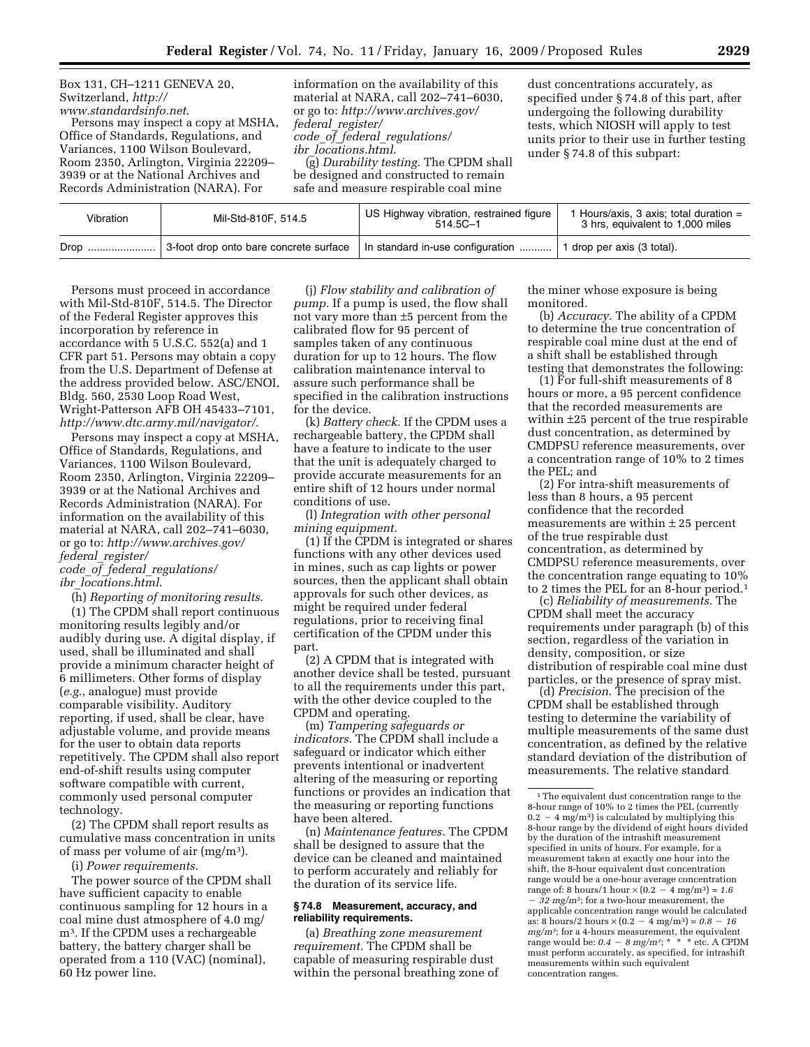Box 131, CH–1211 GENEVA 20, Switzerland, *http:// www.standardsinfo.net*.

Persons may inspect a copy at MSHA, Office of Standards, Regulations, and Variances, 1100 Wilson Boulevard, Room 2350, Arlington, Virginia 22209– 3939 or at the National Archives and Records Administration (NARA). For

information on the availability of this material at NARA, call 202–741–6030, or go to: *http://www.archives.gov/ federal*\_*register/ code*\_*of*\_*federal*\_*regulations/ ibr*\_*locations.html*.

(g) *Durability testing.* The CPDM shall be designed and constructed to remain safe and measure respirable coal mine

dust concentrations accurately, as specified under § 74.8 of this part, after undergoing the following durability tests, which NIOSH will apply to test units prior to their use in further testing under § 74.8 of this subpart:

| Vibration | Mil-Std-810F, 514.5                    | US Highway vibration, restrained figure  <br>$514.5C - 1$ | 1 Hours/axis, 3 axis; total duration =<br>3 hrs, equivalent to 1,000 miles |
|-----------|----------------------------------------|-----------------------------------------------------------|----------------------------------------------------------------------------|
| Drop      | 3-foot drop onto bare concrete surface | In standard in-use configuration                          | 1 1 drop per axis (3 total).                                               |

Persons must proceed in accordance with Mil-Std-810F, 514.5. The Director of the Federal Register approves this incorporation by reference in accordance with 5 U.S.C. 552(a) and 1 CFR part 51. Persons may obtain a copy from the U.S. Department of Defense at the address provided below. ASC/ENOI, Bldg. 560, 2530 Loop Road West, Wright-Patterson AFB OH 45433–7101, *http://www.dtc.army.mil/navigator/*.

Persons may inspect a copy at MSHA, Office of Standards, Regulations, and Variances, 1100 Wilson Boulevard, Room 2350, Arlington, Virginia 22209– 3939 or at the National Archives and Records Administration (NARA). For information on the availability of this material at NARA, call 202–741–6030, or go to: *http://www.archives.gov/ federal*\_*register/* 

*code*\_*of*\_*federal*\_*regulations/ ibr*\_*locations.html*.

(h) *Reporting of monitoring results.* 

(1) The CPDM shall report continuous monitoring results legibly and/or audibly during use. A digital display, if used, shall be illuminated and shall provide a minimum character height of 6 millimeters. Other forms of display (*e.g.*, analogue) must provide comparable visibility. Auditory reporting, if used, shall be clear, have adjustable volume, and provide means for the user to obtain data reports repetitively. The CPDM shall also report end-of-shift results using computer software compatible with current, commonly used personal computer technology.

(2) The CPDM shall report results as cumulative mass concentration in units of mass per volume of air  $(mg/m<sup>3</sup>)$ .

(i) *Power requirements.* 

The power source of the CPDM shall have sufficient capacity to enable continuous sampling for 12 hours in a coal mine dust atmosphere of 4.0 mg/ m3. If the CPDM uses a rechargeable battery, the battery charger shall be operated from a 110 (VAC) (nominal), 60 Hz power line.

(j) *Flow stability and calibration of pump.* If a pump is used, the flow shall not vary more than ±5 percent from the calibrated flow for 95 percent of samples taken of any continuous duration for up to 12 hours. The flow calibration maintenance interval to assure such performance shall be specified in the calibration instructions for the device.

(k) *Battery check.* If the CPDM uses a rechargeable battery, the CPDM shall have a feature to indicate to the user that the unit is adequately charged to provide accurate measurements for an entire shift of 12 hours under normal conditions of use.

(l) *Integration with other personal mining equipment.* 

(1) If the CPDM is integrated or shares functions with any other devices used in mines, such as cap lights or power sources, then the applicant shall obtain approvals for such other devices, as might be required under federal regulations, prior to receiving final certification of the CPDM under this part.

(2) A CPDM that is integrated with another device shall be tested, pursuant to all the requirements under this part, with the other device coupled to the CPDM and operating.

(m) *Tampering safeguards or indicators.* The CPDM shall include a safeguard or indicator which either prevents intentional or inadvertent altering of the measuring or reporting functions or provides an indication that the measuring or reporting functions have been altered.

(n) *Maintenance features.* The CPDM shall be designed to assure that the device can be cleaned and maintained to perform accurately and reliably for the duration of its service life.

### **§ 74.8 Measurement, accuracy, and reliability requirements.**

(a) *Breathing zone measurement requirement.* The CPDM shall be capable of measuring respirable dust within the personal breathing zone of the miner whose exposure is being monitored.

(b) *Accuracy.* The ability of a CPDM to determine the true concentration of respirable coal mine dust at the end of a shift shall be established through testing that demonstrates the following:

(1) For full-shift measurements of 8 hours or more, a 95 percent confidence that the recorded measurements are within ±25 percent of the true respirable dust concentration, as determined by CMDPSU reference measurements, over a concentration range of 10% to 2 times the PEL; and

(2) For intra-shift measurements of less than 8 hours, a 95 percent confidence that the recorded measurements are within  $\pm 25$  percent of the true respirable dust concentration, as determined by CMDPSU reference measurements, over the concentration range equating to 10% to 2 times the PEL for an 8-hour period.1

(c) *Reliability of measurements.* The CPDM shall meet the accuracy requirements under paragraph (b) of this section, regardless of the variation in density, composition, or size distribution of respirable coal mine dust particles, or the presence of spray mist.

(d) *Precision.* The precision of the CPDM shall be established through testing to determine the variability of multiple measurements of the same dust concentration, as defined by the relative standard deviation of the distribution of measurements. The relative standard

<sup>1</sup>The equivalent dust concentration range to the 8-hour range of 10% to 2 times the PEL (currently  $0.2 - 4$  mg/m<sup>3</sup>) is calculated by multiplying this 8-hour range by the dividend of eight hours divided by the duration of the intrashift measurement specified in units of hours. For example, for a measurement taken at exactly one hour into the shift, the 8-hour equivalent dust concentration range would be a one-hour average concentration range of: 8 hours/1 hour  $\times (0.2 - 4 \text{ mg/m}^3) = 1.6$ ¥ *32 mg/m3*; for a two-hour measurement, the applicable concentration range would be calculated as: 8 hours/2 hours  $\times (0.2 - 4 \text{ mg/m}^3) = 0.8 - 16$ *mg/m3*; for a 4-hours measurement, the equivalent range would be:  $0.4 - 8$  mg/m<sup>3</sup>; \* \* \* etc. A CPDM must perform accurately, as specified, for intrashift measurements within such equivalent concentration ranges.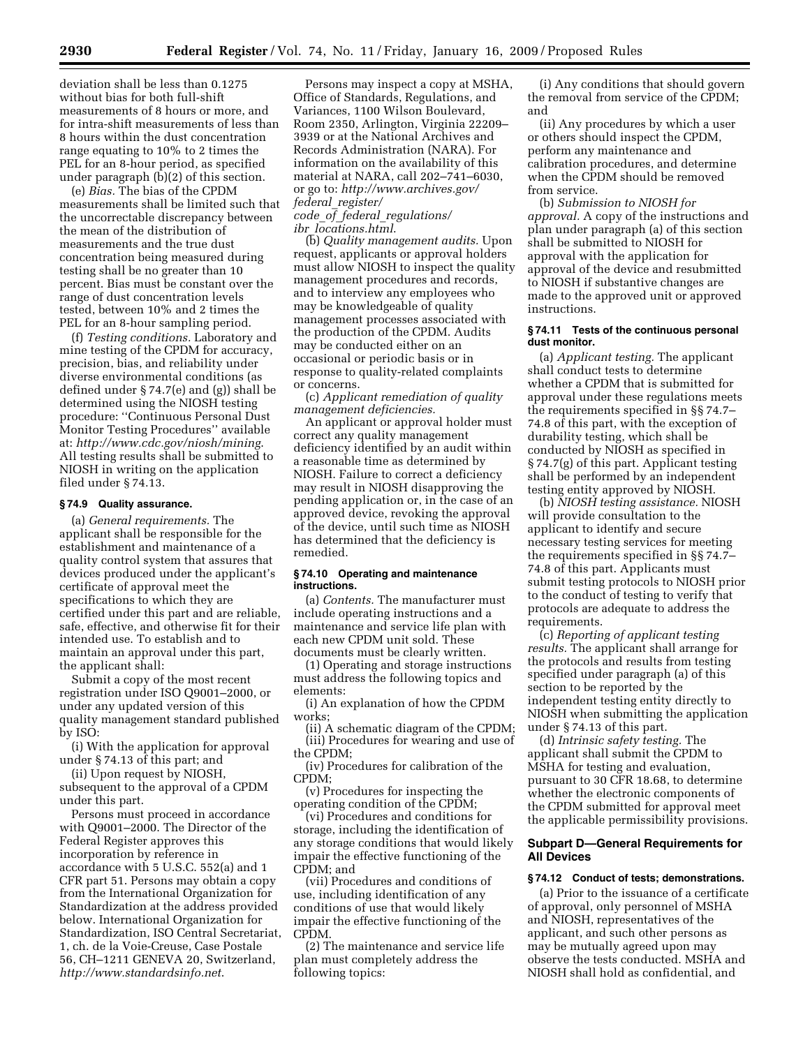deviation shall be less than 0.1275 without bias for both full-shift measurements of 8 hours or more, and for intra-shift measurements of less than 8 hours within the dust concentration range equating to 10% to 2 times the PEL for an 8-hour period, as specified under paragraph (b)(2) of this section.

(e) *Bias.* The bias of the CPDM measurements shall be limited such that the uncorrectable discrepancy between the mean of the distribution of measurements and the true dust concentration being measured during testing shall be no greater than 10 percent. Bias must be constant over the range of dust concentration levels tested, between 10% and 2 times the PEL for an 8-hour sampling period.

(f) *Testing conditions.* Laboratory and mine testing of the CPDM for accuracy, precision, bias, and reliability under diverse environmental conditions (as defined under § 74.7(e) and (g)) shall be determined using the NIOSH testing procedure: ''Continuous Personal Dust Monitor Testing Procedures'' available at: *http://www.cdc.gov/niosh/mining*. All testing results shall be submitted to NIOSH in writing on the application filed under § 74.13.

#### **§ 74.9 Quality assurance.**

(a) *General requirements.* The applicant shall be responsible for the establishment and maintenance of a quality control system that assures that devices produced under the applicant's certificate of approval meet the specifications to which they are certified under this part and are reliable, safe, effective, and otherwise fit for their intended use. To establish and to maintain an approval under this part, the applicant shall:

Submit a copy of the most recent registration under ISO Q9001–2000, or under any updated version of this quality management standard published by ISO:

(i) With the application for approval under § 74.13 of this part; and

(ii) Upon request by NIOSH, subsequent to the approval of a CPDM under this part.

Persons must proceed in accordance with Q9001–2000. The Director of the Federal Register approves this incorporation by reference in accordance with 5 U.S.C. 552(a) and 1 CFR part 51. Persons may obtain a copy from the International Organization for Standardization at the address provided below. International Organization for Standardization, ISO Central Secretariat, 1, ch. de la Voie-Creuse, Case Postale 56, CH–1211 GENEVA 20, Switzerland, *http://www.standardsinfo.net*.

Persons may inspect a copy at MSHA, Office of Standards, Regulations, and Variances, 1100 Wilson Boulevard, Room 2350, Arlington, Virginia 22209– 3939 or at the National Archives and Records Administration (NARA). For information on the availability of this material at NARA, call 202–741–6030, or go to: *http://www.archives.gov/ federal*\_*register/ code*\_*of*\_*federal*\_*regulations/* 

*ibr*\_*locations.html*.

(b) *Quality management audits.* Upon request, applicants or approval holders must allow NIOSH to inspect the quality management procedures and records, and to interview any employees who may be knowledgeable of quality management processes associated with the production of the CPDM. Audits may be conducted either on an occasional or periodic basis or in response to quality-related complaints or concerns.

(c) *Applicant remediation of quality management deficiencies.* 

An applicant or approval holder must correct any quality management deficiency identified by an audit within a reasonable time as determined by NIOSH. Failure to correct a deficiency may result in NIOSH disapproving the pending application or, in the case of an approved device, revoking the approval of the device, until such time as NIOSH has determined that the deficiency is remedied.

#### **§ 74.10 Operating and maintenance instructions.**

(a) *Contents.* The manufacturer must include operating instructions and a maintenance and service life plan with each new CPDM unit sold. These documents must be clearly written.

(1) Operating and storage instructions must address the following topics and elements:

(i) An explanation of how the CPDM works;

(ii) A schematic diagram of the CPDM; (iii) Procedures for wearing and use of the CPDM;

(iv) Procedures for calibration of the CPDM;

(v) Procedures for inspecting the operating condition of the CPDM;

(vi) Procedures and conditions for storage, including the identification of any storage conditions that would likely impair the effective functioning of the CPDM; and

(vii) Procedures and conditions of use, including identification of any conditions of use that would likely impair the effective functioning of the CPDM.

(2) The maintenance and service life plan must completely address the following topics:

(i) Any conditions that should govern the removal from service of the CPDM; and

(ii) Any procedures by which a user or others should inspect the CPDM, perform any maintenance and calibration procedures, and determine when the CPDM should be removed from service.

(b) *Submission to NIOSH for approval.* A copy of the instructions and plan under paragraph (a) of this section shall be submitted to NIOSH for approval with the application for approval of the device and resubmitted to NIOSH if substantive changes are made to the approved unit or approved instructions.

#### **§ 74.11 Tests of the continuous personal dust monitor.**

(a) *Applicant testing.* The applicant shall conduct tests to determine whether a CPDM that is submitted for approval under these regulations meets the requirements specified in §§ 74.7– 74.8 of this part, with the exception of durability testing, which shall be conducted by NIOSH as specified in § 74.7(g) of this part. Applicant testing shall be performed by an independent testing entity approved by NIOSH.

(b) *NIOSH testing assistance.* NIOSH will provide consultation to the applicant to identify and secure necessary testing services for meeting the requirements specified in §§ 74.7– 74.8 of this part. Applicants must submit testing protocols to NIOSH prior to the conduct of testing to verify that protocols are adequate to address the requirements.

(c) *Reporting of applicant testing results.* The applicant shall arrange for the protocols and results from testing specified under paragraph (a) of this section to be reported by the independent testing entity directly to NIOSH when submitting the application under § 74.13 of this part.

(d) *Intrinsic safety testing.* The applicant shall submit the CPDM to MSHA for testing and evaluation, pursuant to 30 CFR 18.68, to determine whether the electronic components of the CPDM submitted for approval meet the applicable permissibility provisions.

## **Subpart D—General Requirements for All Devices**

#### **§ 74.12 Conduct of tests; demonstrations.**

(a) Prior to the issuance of a certificate of approval, only personnel of MSHA and NIOSH, representatives of the applicant, and such other persons as may be mutually agreed upon may observe the tests conducted. MSHA and NIOSH shall hold as confidential, and